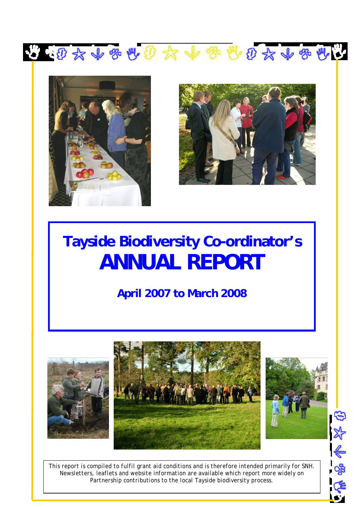



l



经参学

# **Tayside Biodiversity Co-ordinator's ANNUAL REPORT**

**April 2007 to March 2008**



*This report is compiled to fulfil grant aid conditions and is therefore intended primarily for SNH. Newsletters, leaflets and website information are available which report more widely on Partnership contributions to the local Tayside biodiversity process.*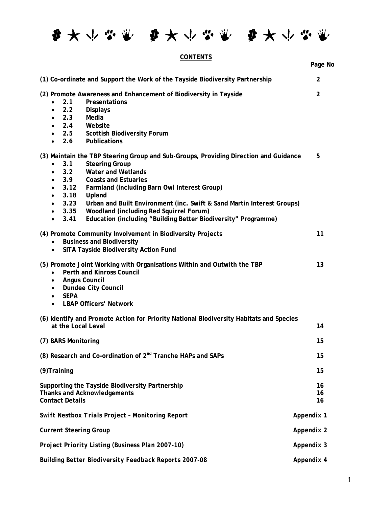每天个品票 每天个品票 每半个品票

# **CONTENTS**

|                                                                                                                                                                                                                                                                                                                                                                                                                                                                                                                                             | Page No        |
|---------------------------------------------------------------------------------------------------------------------------------------------------------------------------------------------------------------------------------------------------------------------------------------------------------------------------------------------------------------------------------------------------------------------------------------------------------------------------------------------------------------------------------------------|----------------|
| (1) Co-ordinate and Support the Work of the Tayside Biodiversity Partnership                                                                                                                                                                                                                                                                                                                                                                                                                                                                | $\overline{2}$ |
| (2) Promote Awareness and Enhancement of Biodiversity in Tayside<br>2.1<br>Presentations<br>$\bullet$<br>2.2<br><b>Displays</b><br>$\bullet$<br>2.3<br>Media<br>$\bullet$<br>2.4<br>Website<br>$\bullet$<br>2.5 Scottish Biodiversity Forum<br>Publications<br>2.6                                                                                                                                                                                                                                                                          | $\overline{2}$ |
| (3) Maintain the TBP Steering Group and Sub-Groups, Providing Direction and Guidance<br>3.1<br><b>Steering Group</b><br><b>Water and Wetlands</b><br>3.2<br>$\bullet$<br><b>Coasts and Estuaries</b><br>3.9<br>3.12<br>Farmland (including Barn Owl Interest Group)<br>$\bullet$<br>3.18<br>Upland<br>$\bullet$<br>3.23<br>Urban and Built Environment (inc. Swift & Sand Martin Interest Groups)<br>$\bullet$<br>Woodland (including Red Squirrel Forum)<br>3.35<br>Education (including "Building Better Biodiversity" Programme)<br>3.41 | 5              |
| (4) Promote Community Involvement in Biodiversity Projects<br><b>Business and Biodiversity</b><br>SITA Tayside Biodiversity Action Fund<br>$\bullet$                                                                                                                                                                                                                                                                                                                                                                                        | 11             |
| (5) Promote Joint Working with Organisations Within and Outwith the TBP<br>Perth and Kinross Council<br>٠<br><b>Angus Council</b><br>$\bullet$<br><b>Dundee City Council</b><br>$\bullet$<br><b>SEPA</b><br>$\bullet$<br><b>LBAP Officers' Network</b><br>$\bullet$                                                                                                                                                                                                                                                                         | 13             |
| (6) Identify and Promote Action for Priority National Biodiversity Habitats and Species<br>at the Local Level                                                                                                                                                                                                                                                                                                                                                                                                                               | 14             |
| (7) BARS Monitoring                                                                                                                                                                                                                                                                                                                                                                                                                                                                                                                         | 15             |
| (8) Research and Co-ordination of 2 <sup>nd</sup> Tranche HAPs and SAPs                                                                                                                                                                                                                                                                                                                                                                                                                                                                     | 15             |
| (9) Training                                                                                                                                                                                                                                                                                                                                                                                                                                                                                                                                | 15             |
| Supporting the Tayside Biodiversity Partnership<br><b>Thanks and Acknowledgements</b><br><b>Contact Details</b>                                                                                                                                                                                                                                                                                                                                                                                                                             | 16<br>16<br>16 |
| <b>Swift Nestbox Trials Project - Monitoring Report</b>                                                                                                                                                                                                                                                                                                                                                                                                                                                                                     | Appendix 1     |
| <b>Current Steering Group</b>                                                                                                                                                                                                                                                                                                                                                                                                                                                                                                               | Appendix 2     |
| Project Priority Listing (Business Plan 2007-10)                                                                                                                                                                                                                                                                                                                                                                                                                                                                                            | Appendix 3     |
| <b>Building Better Biodiversity Feedback Reports 2007-08</b>                                                                                                                                                                                                                                                                                                                                                                                                                                                                                | Appendix 4     |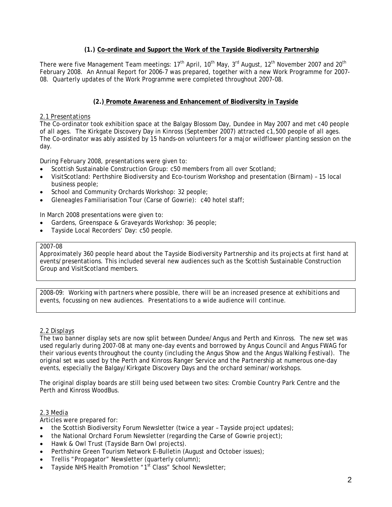# **(1.) Co-ordinate and Support the Work of the Tayside Biodiversity Partnership**

There were five Management Team meetings: 17<sup>th</sup> April, 10<sup>th</sup> May, 3<sup>rd</sup> August, 12<sup>th</sup> November 2007 and 20<sup>th</sup> February 2008. An Annual Report for 2006-7 was prepared, together with a new Work Programme for 2007- 08. Quarterly updates of the Work Programme were completed throughout 2007-08.

# **(2.) Promote Awareness and Enhancement of Biodiversity in Tayside**

# *2.1 Presentations*

The Co-ordinator took exhibition space at the Balgay Blossom Day, Dundee in May 2007 and met c40 people of all ages. The Kirkgate Discovery Day in Kinross (September 2007) attracted c1,500 people of all ages. The Co-ordinator was ably assisted by 15 hands-on volunteers for a major wildflower planting session on the day.

During February 2008, presentations were given to:

- Scottish Sustainable Construction Group: c50 members from all over Scotland;
- VisitScotland: Perthshire Biodiversity and Eco-tourism Workshop and presentation (Birnam) 15 local business people;
- School and Community Orchards Workshop: 32 people;
- Gleneagles Familiarisation Tour (Carse of Gowrie): c40 hotel staff;

In March 2008 presentations were given to:

- Gardens, Greenspace & Graveyards Workshop: 36 people;
- Tayside Local Recorders' Day: c50 people.

#### 2007-08

Approximately 360 people heard about the Tayside Biodiversity Partnership and its projects at first hand at events/presentations. This included several new audiences such as the Scottish Sustainable Construction Group and VisitScotland members.

*2008-09: Working with partners where possible, there will be an increased presence at exhibitions and events, focussing on new audiences. Presentations to a wide audience will continue.* 

# *2.2 Displays*

The two banner display sets are now split between Dundee/Angus and Perth and Kinross. The new set was used regularly during 2007-08 at many one-day events and borrowed by Angus Council and Angus FWAG for their various events throughout the county (including the Angus Show and the Angus Walking Festival). The original set was used by the Perth and Kinross Ranger Service and the Partnership at numerous one-day events, especially the Balgay/Kirkgate Discovery Days and the orchard seminar/workshops.

The original display boards are still being used between two sites: Crombie Country Park Centre and the Perth and Kinross WoodBus.

# *2.3 Media*

Articles were prepared for:

- the Scottish Biodiversity Forum Newsletter (twice a year Tayside project updates);
- the National Orchard Forum Newsletter (regarding the Carse of Gowrie project);
- Hawk & Owl Trust (Tayside Barn Owl projects).
- Perthshire Green Tourism Network E-Bulletin (August and October issues);
- Trellis "Propagator" Newsletter (quarterly column);
- Tayside NHS Health Promotion "1<sup>st</sup> Class" School Newsletter;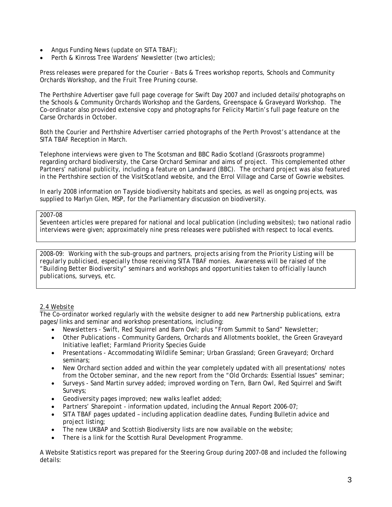- Angus Funding News (update on SITA TBAF);
- Perth & Kinross Tree Wardens' Newsletter (two articles);

Press releases were prepared for the Courier - Bats & Trees workshop reports, Schools and Community Orchards Workshop, and the Fruit Tree Pruning course.

The Perthshire Advertiser gave full page coverage for Swift Day 2007 and included details/photographs on the Schools & Community Orchards Workshop and the Gardens, Greenspace & Graveyard Workshop. The Co-ordinator also provided extensive copy and photographs for Felicity Martin's full page feature on the Carse Orchards in October.

Both the Courier and Perthshire Advertiser carried photographs of the Perth Provost's attendance at the SITA TBAF Reception in March.

Telephone interviews were given to The Scotsman and BBC Radio Scotland (Grassroots programme) regarding orchard biodiversity, the Carse Orchard Seminar and aims of project. This complemented other Partners' national publicity, including a feature on Landward (BBC). The orchard project was also featured in the Perthshire section of the VisitScotland website, and the Errol Village and Carse of Gowrie websites.

In early 2008 information on Tayside biodiversity habitats and species, as well as ongoing projects, was supplied to Marlyn Glen, MSP, for the Parliamentary discussion on biodiversity.

#### 2007-08

Seventeen articles were prepared for national and local publication (including websites); two national radio interviews were given; approximately nine press releases were published with respect to local events.

*2008-09: Working with the sub-groups and partners, projects arising from the Priority Listing will be regularly publicised, especially those receiving SITA TBAF monies. Awareness will be raised of the "Building Better Biodiversity" seminars and workshops and opportunities taken to officially launch publications, surveys, etc.* 

# *2.4 Website*

The Co-ordinator worked regularly with the website designer to add new Partnership publications, extra pages/links and seminar and workshop presentations, including:

- Newsletters Swift, Red Squirrel and Barn Owl; plus "From Summit to Sand" Newsletter;
- Other Publications Community Gardens, Orchards and Allotments booklet, the Green Graveyard Initiative leaflet; Farmland Priority Species Guide
- Presentations Accommodating Wildlife Seminar; Urban Grassland; Green Graveyard; Orchard seminars;
- New Orchard section added and within the year completely updated with all presentations/ notes from the October seminar, and the new report from the "Old Orchards: Essential Issues" seminar;
- Surveys Sand Martin survey added; improved wording on Tern, Barn Owl, Red Squirrel and Swift Surveys;
- Geodiversity pages improved; new walks leaflet added;
- Partners' Sharepoint information updated, including the Annual Report 2006-07;
- SITA TBAF pages updated including application deadline dates, Funding Bulletin advice and project listing;
- The new UKBAP and Scottish Biodiversity lists are now available on the website;
- There is a link for the Scottish Rural Development Programme.

A Website Statistics report was prepared for the Steering Group during 2007-08 and included the following details: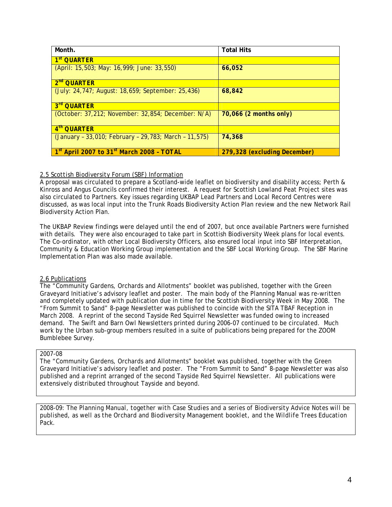| Month.                                                            | <b>Total Hits</b>            |
|-------------------------------------------------------------------|------------------------------|
| 1 <sup>st</sup> QUARTER                                           |                              |
| (April: 15,503; May: 16,999; June: 33,550)                        | 66,052                       |
| 2 <sup>nd</sup> QUARTER                                           |                              |
| (July: 24,747; August: 18,659; September: 25,436)                 | 68,842                       |
| 3rd QUARTER                                                       |                              |
| (October: 37,212; November: 32,854; December: N/A)                | 70,066 (2 months only)       |
| 4 <sup>th</sup> QUARTER                                           |                              |
| (January - 33,010; February - 29,783; March - 11,575)             | 74,368                       |
| 1 <sup>st</sup> April 2007 to 31 <sup>st</sup> March 2008 - TOTAL | 279,328 (excluding December) |

# *2.5 Scottish Biodiversity Forum (SBF) Information*

A proposal was circulated to prepare a Scotland-wide leaflet on biodiversity and disability access; Perth & Kinross and Angus Councils confirmed their interest. A request for Scottish Lowland Peat Project sites was also circulated to Partners. Key issues regarding UKBAP Lead Partners and Local Record Centres were discussed, as was local input into the Trunk Roads Biodiversity Action Plan review and the new Network Rail Biodiversity Action Plan.

The UKBAP Review findings were delayed until the end of 2007, but once available Partners were furnished with details. They were also encouraged to take part in Scottish Biodiversity Week plans for local events. The Co-ordinator, with other Local Biodiversity Officers, also ensured local input into SBF Interpretation, Community & Education Working Group implementation and the SBF Local Working Group. The SBF Marine Implementation Plan was also made available.

# *2.6 Publications*

The "Community Gardens, Orchards and Allotments" booklet was published, together with the Green Graveyard Initiative's advisory leaflet and poster. The main body of the Planning Manual was re-written and completely updated with publication due in time for the Scottish Biodiversity Week in May 2008. The "From Summit to Sand" 8-page Newsletter was published to coincide with the SITA TBAF Reception in March 2008. A reprint of the second Tayside Red Squirrel Newsletter was funded owing to increased demand. The Swift and Barn Owl Newsletters printed during 2006-07 continued to be circulated. Much work by the Urban sub-group members resulted in a suite of publications being prepared for the ZOOM Bumblebee Survey.

#### 2007-08

The "Community Gardens, Orchards and Allotments" booklet was published, together with the Green Graveyard Initiative's advisory leaflet and poster. The "From Summit to Sand" 8-page Newsletter was also published and a reprint arranged of the second Tayside Red Squirrel Newsletter. All publications were extensively distributed throughout Tayside and beyond.

*2008-09: The Planning Manual, together with Case Studies and a series of Biodiversity Advice Notes will be published, as well as the Orchard and Biodiversity Management booklet, and the Wildlife Trees Education Pack.*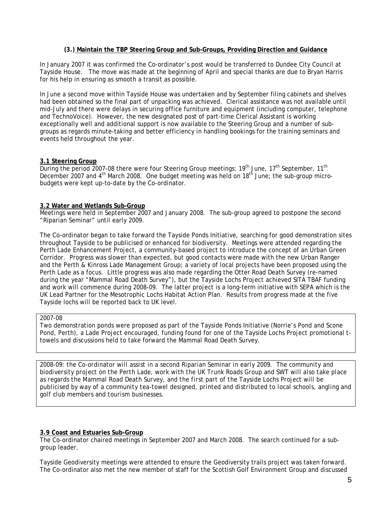#### **(3.) Maintain the TBP Steering Group and Sub-Groups, Providing Direction and Guidance**

In January 2007 it was confirmed the Co-ordinator's post would be transferred to Dundee City Council at Tayside House. The move was made at the beginning of April and special thanks are due to Bryan Harris for his help in ensuring as smooth a transit as possible.

In June a second move within Tayside House was undertaken and by September filing cabinets and shelves had been obtained so the final part of unpacking was achieved. Clerical assistance was not available until mid-July and there were delays in securing office furniture and equipment (including computer, telephone and TechnoVoice). However, the new designated post of part-time Clerical Assistant is working exceptionally well and additional support is now available to the Steering Group and a number of subgroups as regards minute-taking and better efficiency in handling bookings for the training seminars and events held throughout the year.

#### **3.1 Steering Group**

During the period 2007-08 there were four Steering Group meetings:  $19<sup>th</sup>$  June,  $17<sup>th</sup>$  September,  $11<sup>th</sup>$ December 2007 and 4<sup>th</sup> March 2008. One budget meeting was held on 18<sup>th</sup> June; the sub-group microbudgets were kept up-to-date by the Co-ordinator.

#### **3.2 Water and Wetlands Sub-Group**

Meetings were held in September 2007 and January 2008. The sub-group agreed to postpone the second "Riparian Seminar" until early 2009.

The Co-ordinator began to take forward the Tayside Ponds Initiative, searching for good demonstration sites throughout Tayside to be publicised or enhanced for biodiversity. Meetings were attended regarding the Perth Lade Enhancement Project, a community-based project to introduce the concept of an Urban Green Corridor. Progress was slower than expected, but good contacts were made with the new Urban Ranger and the Perth & Kinross Lade Management Group; a variety of local projects have been proposed using the Perth Lade as a focus. Little progress was also made regarding the Otter Road Death Survey (re-named during the year "Mammal Road Death Survey"), but the Tayside Lochs Project achieved SITA TBAF funding and work will commence during 2008-09. The latter project is a long-term initiative with SEPA which is the UK Lead Partner for the Mesotrophic Lochs Habitat Action Plan. Results from progress made at the five Tayside lochs will be reported back to UK level.

### 2007-08

Two demonstration ponds were proposed as part of the Tayside Ponds Initiative (Norrie's Pond and Scone Pond, Perth), a Lade Project encouraged, funding found for one of the Tayside Lochs Project promotional ttowels and discussions held to take forward the Mammal Road Death Survey.

*2008-09: the Co-ordinator will assist in a second Riparian Seminar in early 2009. The community and biodiversity project on the Perth Lade, work with the UK Trunk Roads Group and SWT will also take place as regards the Mammal Road Death Survey, and the first part of the Tayside Lochs Project will be publicised by way of a community tea-towel designed, printed and distributed to local schools, angling and golf club members and tourism businesses.* 

# **3.9 Coast and Estuaries Sub-Group**

The Co-ordinator chaired meetings in September 2007 and March 2008. The search continued for a subgroup leader.

Tayside Geodiversity meetings were attended to ensure the Geodiversity trails project was taken forward. The Co-ordinator also met the new member of staff for the Scottish Golf Environment Group and discussed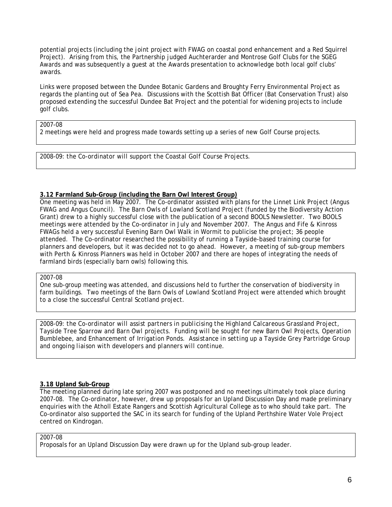potential projects (including the joint project with FWAG on coastal pond enhancement and a Red Squirrel Project). Arising from this, the Partnership judged Auchterarder and Montrose Golf Clubs for the SGEG Awards and was subsequently a guest at the Awards presentation to acknowledge both local golf clubs' awards.

Links were proposed between the Dundee Botanic Gardens and Broughty Ferry Environmental Project as regards the planting out of Sea Pea. Discussions with the Scottish Bat Officer (Bat Conservation Trust) also proposed extending the successful Dundee Bat Project and the potential for widening projects to include golf clubs.

#### 2007-08

2 meetings were held and progress made towards setting up a series of new Golf Course projects.

*2008-09: the Co-ordinator will support the Coastal Golf Course Projects.* 

#### **3.12 Farmland Sub-Group (including the Barn Owl Interest Group)**

One meeting was held in May 2007. The Co-ordinator assisted with plans for the Linnet Link Project (Angus FWAG and Angus Council). The Barn Owls of Lowland Scotland Project (funded by the Biodiversity Action Grant) drew to a highly successful close with the publication of a second BOOLS Newsletter. Two BOOLS meetings were attended by the Co-ordinator in July and November 2007. The Angus and Fife & Kinross FWAGs held a very successful Evening Barn Owl Walk in Wormit to publicise the project; 36 people attended. The Co-ordinator researched the possibility of running a Tayside-based training course for planners and developers, but it was decided not to go ahead. However, a meeting of sub-group members with Perth & Kinross Planners was held in October 2007 and there are hopes of integrating the needs of farmland birds (especially barn owls) following this.

# 2007-08

One sub-group meeting was attended, and discussions held to further the conservation of biodiversity in farm buildings. Two meetings of the Barn Owls of Lowland Scotland Project were attended which brought to a close the successful Central Scotland project.

*2008-09: the Co-ordinator will assist partners in publicising the Highland Calcareous Grassland Project, Tayside Tree Sparrow and Barn Owl projects. Funding will be sought for new Barn Owl Projects, Operation Bumblebee, and Enhancement of Irrigation Ponds. Assistance in setting up a Tayside Grey Partridge Group and ongoing liaison with developers and planners will continue.* 

# **3.18 Upland Sub-Group**

The meeting planned during late spring 2007 was postponed and no meetings ultimately took place during 2007-08. The Co-ordinator, however, drew up proposals for an Upland Discussion Day and made preliminary enquiries with the Atholl Estate Rangers and Scottish Agricultural College as to who should take part. The Co-ordinator also supported the SAC in its search for funding of the Upland Perthshire Water Vole Project centred on Kindrogan.

# 2007-08

Proposals for an Upland Discussion Day were drawn up for the Upland sub-group leader.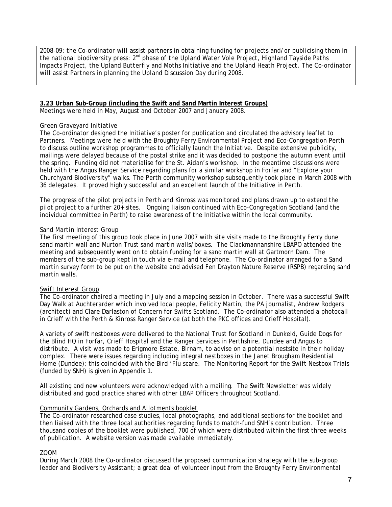*2008-09: the Co-ordinator will assist partners in obtaining funding for projects and/or publicising them in the national biodiversity press: 2nd phase of the Upland Water Vole Project, Highland Tayside Paths Impacts Project, the Upland Butterfly and Moths Initiative and the Upland Heath Project. The Co-ordinator*  will assist Partners in planning the Upland Discussion Day during 2008.

# **3.23 Urban Sub-Group (including the Swift and Sand Martin Interest Groups)**

Meetings were held in May, August and October 2007 and January 2008.

#### *Green Graveyard Initiative*

The Co-ordinator designed the Initiative's poster for publication and circulated the advisory leaflet to Partners. Meetings were held with the Broughty Ferry Environmental Project and Eco-Congregation Perth to discuss outline workshop programmes to officially launch the Initiative. Despite extensive publicity, mailings were delayed because of the postal strike and it was decided to postpone the autumn event until the spring. Funding did not materialise for the St. Aidan's workshop. In the meantime discussions were held with the Angus Ranger Service regarding plans for a similar workshop in Forfar and "Explore your Churchyard Biodiversity" walks. The Perth community workshop subsequently took place in March 2008 with 36 delegates. It proved highly successful and an excellent launch of the Initiative in Perth.

The progress of the pilot projects in Perth and Kinross was monitored and plans drawn up to extend the pilot project to a further 20+ sites. Ongoing liaison continued with Eco-Congregation Scotland (and the individual committee in Perth) to raise awareness of the Initiative within the local community.

#### *Sand Martin Interest Group*

The first meeting of this group took place in June 2007 with site visits made to the Broughty Ferry dune sand martin wall and Murton Trust sand martin walls/boxes. The Clackmannanshire LBAPO attended the meeting and subsequently went on to obtain funding for a sand martin wall at Gartmorn Dam. The members of the sub-group kept in touch via e-mail and telephone. The Co-ordinator arranged for a Sand martin survey form to be put on the website and advised Fen Drayton Nature Reserve (RSPB) regarding sand martin walls.

# *Swift Interest Group*

The Co-ordinator chaired a meeting in July and a mapping session in October. There was a successful Swift Day Walk at Auchterarder which involved local people, Felicity Martin, the PA journalist, Andrew Rodgers (architect) and Clare Darlaston of Concern for Swifts Scotland. The Co-ordinator also attended a photocall in Crieff with the Perth & Kinross Ranger Service (at both the PKC offices and Crieff Hospital).

A variety of swift nestboxes were delivered to the National Trust for Scotland in Dunkeld, Guide Dogs for the Blind HQ in Forfar, Crieff Hospital and the Ranger Services in Perthshire, Dundee and Angus to distribute. A visit was made to Erigmore Estate, Birnam, to advise on a potential nestsite in their holiday complex. There were issues regarding including integral nestboxes in the Janet Brougham Residential Home (Dundee); this coincided with the Bird 'Flu scare. The Monitoring Report for the Swift Nestbox Trials (funded by SNH) is given in Appendix 1.

All existing and new volunteers were acknowledged with a mailing. The Swift Newsletter was widely distributed and good practice shared with other LBAP Officers throughout Scotland.

#### *Community Gardens, Orchards and Allotments booklet*

The Co-ordinator researched case studies, local photographs, and additional sections for the booklet and then liaised with the three local authorities regarding funds to match-fund SNH's contribution. Three thousand copies of the booklet were published, 700 of which were distributed within the first three weeks of publication. A website version was made available immediately.

# *ZOOM*

During March 2008 the Co-ordinator discussed the proposed communication strategy with the sub-group leader and Biodiversity Assistant; a great deal of volunteer input from the Broughty Ferry Environmental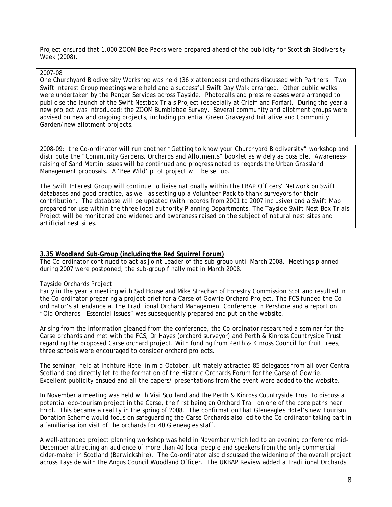Project ensured that 1,000 ZOOM Bee Packs were prepared ahead of the publicity for Scottish Biodiversity Week (2008).

#### 2007-08

One Churchyard Biodiversity Workshop was held (36 x attendees) and others discussed with Partners. Two Swift Interest Group meetings were held and a successful Swift Day Walk arranged. Other public walks were undertaken by the Ranger Services across Tayside. Photocalls and press releases were arranged to publicise the launch of the Swift Nestbox Trials Project (especially at Crieff and Forfar). During the year a new project was introduced: the ZOOM Bumblebee Survey. Several community and allotment groups were advised on new and ongoing projects, including potential Green Graveyard Initiative and Community Garden/new allotment projects.

*2008-09: the Co-ordinator will run another "Getting to know your Churchyard Biodiversity" workshop and distribute the "Community Gardens, Orchards and Allotments" booklet as widely as possible. Awarenessraising of Sand Martin issues will be continued and progress noted as regards the Urban Grassland Management proposals. A 'Bee Wild' pilot project will be set up.* 

*The Swift Interest Group will continue to liaise nationally within the LBAP Officers' Network on Swift databases and good practice, as well as setting up a Volunteer Pack to thank surveyors for their contribution. The database will be updated (with records from 2001 to 2007 inclusive) and a Swift Map prepared for use within the three local authority Planning Departments. The Tayside Swift Nest Box Trials Project will be monitored and widened and awareness raised on the subject of natural nest sites and artificial nest sites.*

#### **3.35 Woodland Sub-Group (including the Red Squirrel Forum)**

The Co-ordinator continued to act as Joint Leader of the sub-group until March 2008. Meetings planned during 2007 were postponed; the sub-group finally met in March 2008.

#### *Tayside Orchards Project*

Early in the year a meeting with Syd House and Mike Strachan of Forestry Commission Scotland resulted in the Co-ordinator preparing a project brief for a Carse of Gowrie Orchard Project. The FCS funded the Coordinator's attendance at the Traditional Orchard Management Conference in Pershore and a report on "Old Orchards – Essential Issues" was subsequently prepared and put on the website.

Arising from the information gleaned from the conference, the Co-ordinator researched a seminar for the Carse orchards and met with the FCS, Dr Hayes (orchard surveyor) and Perth & Kinross Countryside Trust regarding the proposed Carse orchard project. With funding from Perth & Kinross Council for fruit trees, three schools were encouraged to consider orchard projects.

The seminar, held at Inchture Hotel in mid-October, ultimately attracted 85 delegates from all over Central Scotland and directly let to the formation of the Historic Orchards Forum for the Carse of Gowrie. Excellent publicity ensued and all the papers/ presentations from the event were added to the website.

In November a meeting was held with VisitScotland and the Perth & Kinross Countryside Trust to discuss a potential eco-tourism project in the Carse, the first being an Orchard Trail on one of the core paths near Errol. This became a reality in the spring of 2008. The confirmation that Gleneagles Hotel's new Tourism Donation Scheme would focus on safeguarding the Carse Orchards also led to the Co-ordinator taking part in a familiarisation visit of the orchards for 40 Gleneagles staff.

A well-attended project planning workshop was held in November which led to an evening conference mid-December attracting an audience of more than 40 local people and speakers from the only commercial cider-maker in Scotland (Berwickshire). The Co-ordinator also discussed the widening of the overall project across Tayside with the Angus Council Woodland Officer. The UKBAP Review added a Traditional Orchards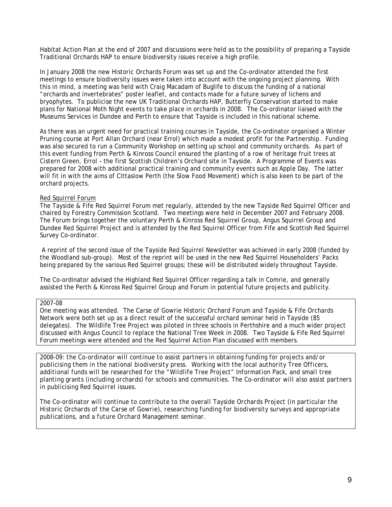Habitat Action Plan at the end of 2007 and discussions were held as to the possibility of preparing a Tayside Traditional Orchards HAP to ensure biodiversity issues receive a high profile.

In January 2008 the new Historic Orchards Forum was set up and the Co-ordinator attended the first meetings to ensure biodiversity issues were taken into account with the ongoing project planning. With this in mind, a meeting was held with Craig Macadam of Buglife to discuss the funding of a national "orchards and invertebrates" poster leaflet, and contacts made for a future survey of lichens and bryophytes. To publicise the new UK Traditional Orchards HAP, Butterfly Conservation started to make plans for National Moth Night events to take place in orchards in 2008. The Co-ordinator liaised with the Museums Services in Dundee and Perth to ensure that Tayside is included in this national scheme.

As there was an urgent need for practical training courses in Tayside, the Co-ordinator organised a Winter Pruning course at Port Allan Orchard (near Errol) which made a modest profit for the Partnership. Funding was also secured to run a Community Workshop on setting up school and community orchards. As part of this event funding from Perth & Kinross Council ensured the planting of a row of heritage fruit trees at Cistern Green, Errol – the first Scottish Children's Orchard site in Tayside. A Programme of Events was prepared for 2008 with additional practical training and community events such as Apple Day. The latter will fit in with the aims of Cittaslow Perth (the Slow Food Movement) which is also keen to be part of the orchard projects.

#### *Red Squirrel Forum*

The Tayside & Fife Red Squirrel Forum met regularly, attended by the new Tayside Red Squirrel Officer and chaired by Forestry Commission Scotland. Two meetings were held in December 2007 and February 2008. The Forum brings together the voluntary Perth & Kinross Red Squirrel Group, Angus Squirrel Group and Dundee Red Squirrel Project and is attended by the Red Squirrel Officer from Fife and Scottish Red Squirrel Survey Co-ordinator.

 A reprint of the second issue of the Tayside Red Squirrel Newsletter was achieved in early 2008 (funded by the Woodland sub-group). Most of the reprint will be used in the new Red Squirrel Householders' Packs being prepared by the various Red Squirrel groups; these will be distributed widely throughout Tayside.

The Co-ordinator advised the Highland Red Squirrel Officer regarding a talk in Comrie, and generally assisted the Perth & Kinross Red Squirrel Group and Forum in potential future projects and publicity.

#### 2007-08

One meeting was attended. The Carse of Gowrie Historic Orchard Forum and Tayside & Fife Orchards Network were both set up as a direct result of the successful orchard seminar held in Tayside (85 delegates). The Wildlife Tree Project was piloted in three schools in Perthshire and a much wider project discussed with Angus Council to replace the National Tree Week in 2008. Two Tayside & Fife Red Squirrel Forum meetings were attended and the Red Squirrel Action Plan discussed with members.

*2008-09: the Co-ordinator will continue to assist partners in obtaining funding for projects and/or publicising them in the national biodiversity press. Working with the local authority Tree Officers, additional funds will be researched for the "Wildlife Tree Project" Information Pack, and small tree planting grants (including orchards) for schools and communities. The Co-ordinator will also assist partners in publicising Red Squirrel issues.* 

*The Co-ordinator will continue to contribute to the overall Tayside Orchards Project (in particular the Historic Orchards of the Carse of Gowrie), researching funding for biodiversity surveys and appropriate publications, and a future Orchard Management seminar.*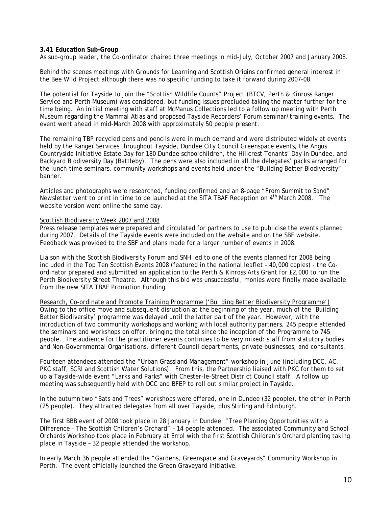#### **3.41 Education Sub-Group**

As sub-group leader, the Co-ordinator chaired three meetings in mid-July, October 2007 and January 2008.

Behind the scenes meetings with Grounds for Learning and Scottish Origins confirmed general interest in the Bee Wild Project although there was no specific funding to take it forward during 2007-08.

The potential for Tayside to join the "Scottish Wildlife Counts" Project (BTCV, Perth & Kinross Ranger Service and Perth Museum) was considered, but funding issues precluded taking the matter further for the time being. An initial meeting with staff at McManus Collections led to a follow up meeting with Perth Museum regarding the Mammal Atlas and proposed Tayside Recorders' Forum seminar/training events. The event went ahead in mid-March 2008 with approximately 50 people present.

The remaining TBP recycled pens and pencils were in much demand and were distributed widely at events held by the Ranger Services throughout Tayside, Dundee City Council Greenspace events, the Angus Countryside Initiative Estate Day for 180 Dundee schoolchildren, the Hillcrest Tenants' Day in Dundee, and Backyard Biodiversity Day (Battleby). The pens were also included in all the delegates' packs arranged for the lunch-time seminars, community workshops and events held under the "Building Better Biodiversity" banner.

Articles and photographs were researched, funding confirmed and an 8-page "From Summit to Sand" Newsletter went to print in time to be launched at the SITA TBAF Reception on 4<sup>th</sup> March 2008. The website version went online the same day.

#### *Scottish Biodiversity Week 2007 and 2008*

Press release templates were prepared and circulated for partners to use to publicise the events planned during 2007. Details of the Tayside events were included on the website and on the SBF website. Feedback was provided to the SBF and plans made for a larger number of events in 2008.

Liaison with the Scottish Biodiversity Forum and SNH led to one of the events planned for 2008 being included in the Top Ten Scottish Events 2008 (featured in the national leaflet – 40,000 copies) - the Coordinator prepared and submitted an application to the Perth & Kinross Arts Grant for £2,000 to run the Perth Biodiversity Street Theatre. Although this bid was unsuccessful, monies were finally made available from the new SITA TBAF Promotion Funding.

*Research, Co-ordinate and Promote Training Programme ('Building Better Biodiversity Programme')* Owing to the office move and subsequent disruption at the beginning of the year, much of the 'Building Better Biodiversity' programme was delayed until the latter part of the year. However, with the introduction of two community workshops and working with local authority partners, 245 people attended the seminars and workshops on offer, bringing the total since the inception of the Programme to 745 people. The audience for the practitioner events continues to be very mixed: staff from statutory bodies and Non-Governmental Organisations, different Council departments, private businesses, and consultants.

Fourteen attendees attended the "Urban Grassland Management" workshop in June (including DCC, AC, PKC staff, SCRI and Scottish Water Solutions). From this, the Partnership liaised with PKC for them to set up a Tayside-wide event "Larks and Parks" with Chester-le-Street District Council staff. A follow up meeting was subsequently held with DCC and BFEP to roll out similar project in Tayside.

In the autumn two "Bats and Trees" workshops were offered, one in Dundee (32 people), the other in Perth (25 people). They attracted delegates from all over Tayside, plus Stirling and Edinburgh.

The first BBB event of 2008 took place in 28 January in Dundee: "Tree Planting Opportunities with a Difference – The Scottish Children's Orchard" – 14 people attended. The associated Community and School Orchards Workshop took place in February at Errol with the first Scottish Children's Orchard planting taking place in Tayside – 32 people attended the workshop.

In early March 36 people attended the "Gardens, Greenspace and Graveyards" Community Workshop in Perth. The event officially launched the Green Graveyard Initiative.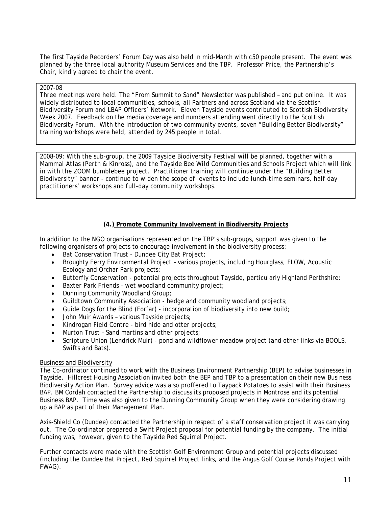The first Tayside Recorders' Forum Day was also held in mid-March with c50 people present. The event was planned by the three local authority Museum Services and the TBP. Professor Price, the Partnership's Chair, kindly agreed to chair the event.

#### 2007-08

Three meetings were held. The "From Summit to Sand" Newsletter was published – and put online. It was widely distributed to local communities, schools, all Partners and across Scotland via the Scottish Biodiversity Forum and LBAP Officers' Network. Eleven Tayside events contributed to Scottish Biodiversity Week 2007. Feedback on the media coverage and numbers attending went directly to the Scottish Biodiversity Forum. With the introduction of two community events, seven "Building Better Biodiversity" training workshops were held, attended by 245 people in total.

*2008-09: With the sub-group, the 2009 Tayside Biodiversity Festival will be planned, together with a Mammal Atlas (Perth & Kinross), and the Tayside Bee Wild Communities and Schools Project which will link in with the ZOOM bumblebee project. Practitioner training will continue under the "Building Better Biodiversity" banner - continue to widen the scope of events to include lunch-time seminars, half day practitioners' workshops and full-day community workshops.* 

#### **(4.) Promote Community Involvement in Biodiversity Projects**

In addition to the NGO organisations represented on the TBP's sub-groups, support was given to the following organisers of projects to encourage involvement in the biodiversity process:

- Bat Conservation Trust Dundee City Bat Project;
- Broughty Ferry Environmental Project various projects, including Hourglass, FLOW, Acoustic Ecology and Orchar Park projects;
- Butterfly Conservation potential projects throughout Tayside, particularly Highland Perthshire;
- Baxter Park Friends wet woodland community project;
- Dunning Community Woodland Group;
- Guildtown Community Association hedge and community woodland projects;
- Guide Dogs for the Blind (Forfar) incorporation of biodiversity into new build;
- John Muir Awards various Tayside projects;
- Kindrogan Field Centre bird hide and otter projects;
- Murton Trust Sand martins and other projects;
- Scripture Union (Lendrick Muir) pond and wildflower meadow project (and other links via BOOLS, Swifts and Bats).

#### *Business and Biodiversity*

The Co-ordinator continued to work with the Business Environment Partnership (BEP) to advise businesses in Tayside. Hillcrest Housing Association invited both the BEP and TBP to a presentation on their new Business Biodiversity Action Plan. Survey advice was also proffered to Taypack Potatoes to assist with their Business BAP. BM Cordah contacted the Partnership to discuss its proposed projects in Montrose and its potential Business BAP. Time was also given to the Dunning Community Group when they were considering drawing up a BAP as part of their Management Plan.

Axis-Shield Co (Dundee) contacted the Partnership in respect of a staff conservation project it was carrying out. The Co-ordinator prepared a Swift Project proposal for potential funding by the company. The initial funding was, however, given to the Tayside Red Squirrel Project.

Further contacts were made with the Scottish Golf Environment Group and potential projects discussed (including the Dundee Bat Project, Red Squirrel Project links, and the Angus Golf Course Ponds Project with FWAG).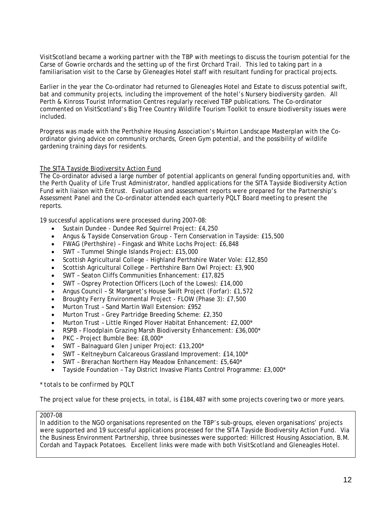VisitScotland became a working partner with the TBP with meetings to discuss the tourism potential for the Carse of Gowrie orchards and the setting up of the first Orchard Trail. This led to taking part in a familiarisation visit to the Carse by Gleneagles Hotel staff with resultant funding for practical projects.

Earlier in the year the Co-ordinator had returned to Gleneagles Hotel and Estate to discuss potential swift, bat and community projects, including the improvement of the hotel's Nursery biodiversity garden. All Perth & Kinross Tourist Information Centres regularly received TBP publications. The Co-ordinator commented on VisitScotland's Big Tree Country Wildlife Tourism Toolkit to ensure biodiversity issues were included.

Progress was made with the Perthshire Housing Association's Muirton Landscape Masterplan with the Coordinator giving advice on community orchards, Green Gym potential, and the possibility of wildlife gardening training days for residents.

#### *The SITA Tayside Biodiversity Action Fund*

The Co-ordinator advised a large number of potential applicants on general funding opportunities and, with the Perth Quality of Life Trust Administrator, handled applications for the SITA Tayside Biodiversity Action Fund with liaison with Entrust. Evaluation and assessment reports were prepared for the Partnership's Assessment Panel and the Co-ordinator attended each quarterly PQLT Board meeting to present the reports.

19 successful applications were processed during 2007-08:

- Sustain Dundee Dundee Red Squirrel Project: £4,250
- Angus & Tayside Conservation Group Tern Conservation in Tayside: £15,500
- FWAG (Perthshire) Fingask and White Lochs Project: £6,848
- SWT Tummel Shingle Islands Project: £15,000
- Scottish Agricultural College Highland Perthshire Water Vole: £12,850
- Scottish Agricultural College Perthshire Barn Owl Project: £3,900
- SWT Seaton Cliffs Communities Enhancement: £17,825
- SWT Osprey Protection Officers (Loch of the Lowes): £14,000
- Angus Council St Margaret's House Swift Project (Forfar): £1,572
- Broughty Ferry Environmental Project FLOW (Phase 3): £7,500
- Murton Trust Sand Martin Wall Extension: £952
- Murton Trust Grey Partridge Breeding Scheme: £2,350
- Murton Trust Little Ringed Plover Habitat Enhancement: £2,000\*
- RSPB Floodplain Grazing Marsh Biodiversity Enhancement: £36,000\*
- PKC Project Bumble Bee: £8,000\*
- SWT Balnaguard Glen Juniper Project: £13,200\*
- SWT Keltneyburn Calcareous Grassland Improvement: £14,100\*
- SWT Brerachan Northern Hay Meadow Enhancement: £5,640\*
- Tayside Foundation Tay District Invasive Plants Control Programme: £3,000\*

#### *\* totals to be confirmed by PQLT*

The project value for these projects, in total, is £184,487 with some projects covering two or more years.

#### 2007-08

In addition to the NGO organisations represented on the TBP's sub-groups, eleven organisations' projects were supported and 19 successful applications processed for the SITA Tayside Biodiversity Action Fund. Via the Business Environment Partnership, three businesses were supported: Hillcrest Housing Association, B.M. Cordah and Taypack Potatoes. Excellent links were made with both VisitScotland and Gleneagles Hotel.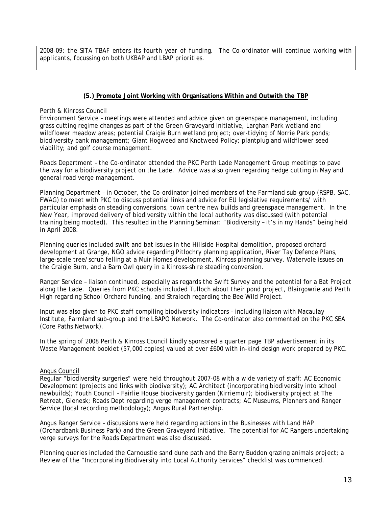*2008-09: the SITA TBAF enters its fourth year of funding. The Co-ordinator will continue working with applicants, focussing on both UKBAP and LBAP priorities.* 

# **(5.) Promote Joint Working with Organisations Within and Outwith the TBP**

#### Perth & Kinross Council

Environment Service – meetings were attended and advice given on greenspace management, including grass cutting regime changes as part of the Green Graveyard Initiative, Larghan Park wetland and wildflower meadow areas; potential Craigie Burn wetland project; over-tidying of Norrie Park ponds; biodiversity bank management; Giant Hogweed and Knotweed Policy; plantplug and wildflower seed viability; and golf course management.

Roads Department – the Co-ordinator attended the PKC Perth Lade Management Group meetings to pave the way for a biodiversity project on the Lade. Advice was also given regarding hedge cutting in May and general road verge management.

Planning Department – in October, the Co-ordinator joined members of the Farmland sub-group (RSPB, SAC, FWAG) to meet with PKC to discuss potential links and advice for EU legislative requirements/ with particular emphasis on steading conversions, town centre new builds and greenspace management. In the New Year, improved delivery of biodiversity within the local authority was discussed (with potential training being mooted). This resulted in the Planning Seminar: "Biodiversity – it's in my Hands" being held in April 2008.

Planning queries included swift and bat issues in the Hillside Hospital demolition, proposed orchard development at Grange, NGO advice regarding Pitlochry planning application, River Tay Defence Plans, large-scale tree/scrub felling at a Muir Homes development, Kinross planning survey, Watervole issues on the Craigie Burn, and a Barn Owl query in a Kinross-shire steading conversion.

Ranger Service – liaison continued, especially as regards the Swift Survey and the potential for a Bat Project along the Lade. Queries from PKC schools included Tulloch about their pond project, Blairgowrie and Perth High regarding School Orchard funding, and Straloch regarding the Bee Wild Project.

Input was also given to PKC staff compiling biodiversity indicators – including liaison with Macaulay Institute, Farmland sub-group and the LBAPO Network. The Co-ordinator also commented on the PKC SEA (Core Paths Network).

In the spring of 2008 Perth & Kinross Council kindly sponsored a quarter page TBP advertisement in its Waste Management booklet (57,000 copies) valued at over £600 with in-kind design work prepared by PKC.

# Angus Council

Regular "biodiversity surgeries" were held throughout 2007-08 with a wide variety of staff: AC Economic Development (projects and links with biodiversity); AC Architect (incorporating biodiversity into school newbuilds); Youth Council – Fairlie House biodiversity garden (Kirriemuir); biodiversity project at The Retreat, Glenesk; Roads Dept regarding verge management contracts; AC Museums, Planners and Ranger Service (local recording methodology); Angus Rural Partnership.

Angus Ranger Service – discussions were held regarding actions in the Businesses with Land HAP (Orchardbank Business Park) and the Green Graveyard Initiative. The potential for AC Rangers undertaking verge surveys for the Roads Department was also discussed.

Planning queries included the Carnoustie sand dune path and the Barry Buddon grazing animals project; a Review of the "Incorporating Biodiversity into Local Authority Services" checklist was commenced.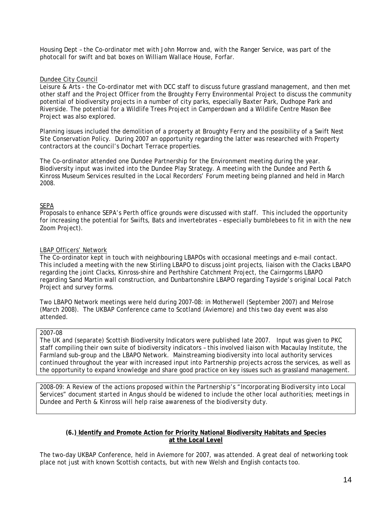Housing Dept – the Co-ordinator met with John Morrow and, with the Ranger Service, was part of the photocall for swift and bat boxes on William Wallace House, Forfar.

### Dundee City Council

Leisure & Arts - the Co-ordinator met with DCC staff to discuss future grassland management, and then met other staff and the Project Officer from the Broughty Ferry Environmental Project to discuss the community potential of biodiversity projects in a number of city parks, especially Baxter Park, Dudhope Park and Riverside. The potential for a Wildlife Trees Project in Camperdown and a Wildlife Centre Mason Bee Project was also explored.

Planning issues included the demolition of a property at Broughty Ferry and the possibility of a Swift Nest Site Conservation Policy. During 2007 an opportunity regarding the latter was researched with Property contractors at the council's Dochart Terrace properties.

The Co-ordinator attended one Dundee Partnership for the Environment meeting during the year. Biodiversity input was invited into the Dundee Play Strategy. A meeting with the Dundee and Perth & Kinross Museum Services resulted in the Local Recorders' Forum meeting being planned and held in March 2008.

#### SEPA

Proposals to enhance SEPA's Perth office grounds were discussed with staff. This included the opportunity for increasing the potential for Swifts, Bats and invertebrates – especially bumblebees to fit in with the new Zoom Project).

#### LBAP Officers' Network

The Co-ordinator kept in touch with neighbouring LBAPOs with occasional meetings and e-mail contact. This included a meeting with the new Stirling LBAPO to discuss joint projects, liaison with the Clacks LBAPO regarding the joint Clacks, Kinross-shire and Perthshire Catchment Project, the Cairngorms LBAPO regarding Sand Martin wall construction, and Dunbartonshire LBAPO regarding Tayside's original Local Patch Project and survey forms.

Two LBAPO Network meetings were held during 2007-08: in Motherwell (September 2007) and Melrose (March 2008). The UKBAP Conference came to Scotland (Aviemore) and this two day event was also attended.

#### 2007-08

The UK and (separate) Scottish Biodiversity Indicators were published late 2007. Input was given to PKC staff compiling their own suite of biodiversity indicators – this involved liaison with Macaulay Institute, the Farmland sub-group and the LBAPO Network. Mainstreaming biodiversity into local authority services continued throughout the year with increased input into Partnership projects across the services, as well as the opportunity to expand knowledge and share good practice on key issues such as grassland management.

*2008-09: A Review of the actions proposed within the Partnership's "Incorporating Biodiversity into Local Services" document started in Angus should be widened to include the other local authorities; meetings in Dundee and Perth & Kinross will help raise awareness of the biodiversity duty.* 

# **(6.) Identify and Promote Action for Priority National Biodiversity Habitats and Species at the Local Level**

The two-day UKBAP Conference, held in Aviemore for 2007, was attended. A great deal of networking took place not just with known Scottish contacts, but with new Welsh and English contacts too.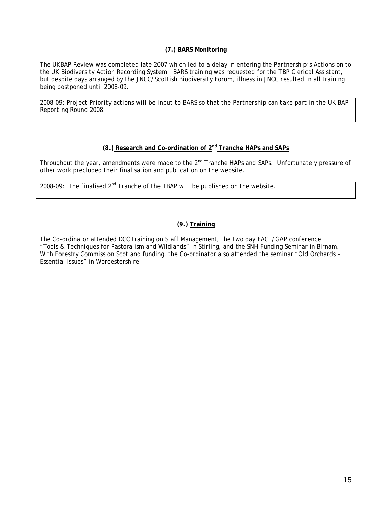# **(7.) BARS Monitoring**

The UKBAP Review was completed late 2007 which led to a delay in entering the Partnership's Actions on to the UK Biodiversity Action Recording System. BARS training was requested for the TBP Clerical Assistant, but despite days arranged by the JNCC/Scottish Biodiversity Forum, illness in JNCC resulted in all training being postponed until 2008-09.

*2008-09: Project Priority actions will be input to BARS so that the Partnership can take part in the UK BAP Reporting Round 2008.* 

# **(8.) Research and Co-ordination of 2nd Tranche HAPs and SAPs**

Throughout the year, amendments were made to the 2<sup>nd</sup> Tranche HAPs and SAPs. Unfortunately pressure of other work precluded their finalisation and publication on the website.

*2008-09: The finalised 2nd Tranche of the TBAP will be published on the website.* 

# **(9.) Training**

The Co-ordinator attended DCC training on Staff Management, the two day FACT/GAP conference "Tools & Techniques for Pastoralism and Wildlands" in Stirling, and the SNH Funding Seminar in Birnam. With Forestry Commission Scotland funding, the Co-ordinator also attended the seminar "Old Orchards – Essential Issues" in Worcestershire.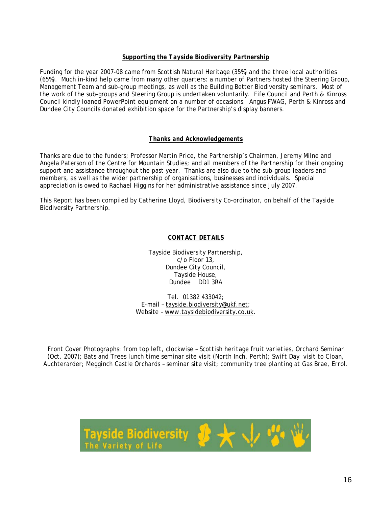# *Supporting the Tayside Biodiversity Partnership*

Funding for the year 2007-08 came from Scottish Natural Heritage (35%) and the three local authorities (65%). Much in-kind help came from many other quarters: a number of Partners hosted the Steering Group, Management Team and sub-group meetings, as well as the Building Better Biodiversity seminars. Most of the work of the sub-groups and Steering Group is undertaken voluntarily. Fife Council and Perth & Kinross Council kindly loaned PowerPoint equipment on a number of occasions. Angus FWAG, Perth & Kinross and Dundee City Councils donated exhibition space for the Partnership's display banners.

# *Thanks and Acknowledgements*

Thanks are due to the funders; Professor Martin Price, the Partnership's Chairman, Jeremy Milne and Angela Paterson of the Centre for Mountain Studies; and all members of the Partnership for their ongoing support and assistance throughout the past year. Thanks are also due to the sub-group leaders and members, as well as the wider partnership of organisations, businesses and individuals. Special appreciation is owed to Rachael Higgins for her administrative assistance since July 2007.

This Report has been compiled by Catherine Lloyd, Biodiversity Co-ordinator, on behalf of the Tayside Biodiversity Partnership.

# *CONTACT DETAILS*

Tayside Biodiversity Partnership, c/o Floor 13, Dundee City Council, Tayside House, Dundee DD1 3RA

Tel. 01382 433042; E-mail – [tayside.biodiversity@ukf.net](mailto:tayside.biodiversity@ukf.net); Website – [www.taysidebiodiversity.co.uk](http://www.taysidebiodiversity.co.uk/).

*Front Cover Photographs: from top left, clockwise – Scottish heritage fruit varieties, Orchard Seminar (Oct. 2007); Bats and Trees lunch time seminar site visit (North Inch, Perth); Swift Day visit to Cloan, Auchterarder; Megginch Castle Orchards – seminar site visit; community tree planting at Gas Brae, Errol.* 

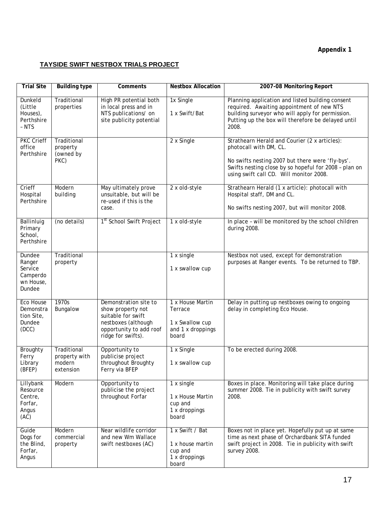# **Appendix 1**

# **TAYSIDE SWIFT NESTBOX TRIALS PROJECT**

| <b>Trial Site</b>                                              | <b>Building type</b>                                | Comments                                                                                                                                 | <b>Nestbox Allocation</b>                                                    | 2007-08 Monitoring Report                                                                                                                                                                                                       |
|----------------------------------------------------------------|-----------------------------------------------------|------------------------------------------------------------------------------------------------------------------------------------------|------------------------------------------------------------------------------|---------------------------------------------------------------------------------------------------------------------------------------------------------------------------------------------------------------------------------|
| Dunkeld<br>(Little<br>Houses),<br>Perthshire<br>- NTS          | Traditional<br>properties                           | High PR potential both<br>in local press and in<br>NTS publications/ on<br>site publicity potential                                      | 1x Single<br>1 x Swift/Bat                                                   | Planning application and listed building consent<br>required. Awaiting appointment of new NTS<br>building surveyor who will apply for permission.<br>Putting up the box will therefore be delayed until<br>2008.                |
| <b>PKC Crieff</b><br>office<br>Perthshire                      | Traditional<br>property<br>(owned by<br>PKC)        |                                                                                                                                          | 2 x Single                                                                   | Strathearn Herald and Courier (2 x articles):<br>photocall with DM, CL.<br>No swifts nesting 2007 but there were 'fly-bys'.<br>Swifts nesting close by so hopeful for 2008 - plan on<br>using swift call CD. Will monitor 2008. |
| Crieff<br>Hospital<br>Perthshire                               | Modern<br>building                                  | May ultimately prove<br>unsuitable, but will be<br>re-used if this is the<br>case.                                                       | 2 x old-style                                                                | Strathearn Herald (1 x article): photocall with<br>Hospital staff, DM and CL.<br>No swifts nesting 2007, but will monitor 2008.                                                                                                 |
| Ballinluig<br>Primary<br>School,<br>Perthshire                 | (no details)                                        | 1 <sup>st</sup> School Swift Project                                                                                                     | 1 x old-style                                                                | In place - will be monitored by the school children<br>during 2008.                                                                                                                                                             |
| Dundee<br>Ranger<br>Service<br>Camperdo<br>wn House,<br>Dundee | Traditional<br>property                             |                                                                                                                                          | 1 x single<br>1 x swallow cup                                                | Nestbox not used, except for demonstration<br>purposes at Ranger events. To be returned to TBP.                                                                                                                                 |
| <b>Eco House</b><br>Demonstra<br>tion Site,<br>Dundee<br>(DCC) | 1970s<br>Bungalow                                   | Demonstration site to<br>show property not<br>suitable for swift<br>nestboxes (although<br>opportunity to add roof<br>ridge for swifts). | 1 x House Martin<br>Terrace<br>1 x Swallow cup<br>and 1 x droppings<br>board | Delay in putting up nestboxes owing to ongoing<br>delay in completing Eco House.                                                                                                                                                |
| Broughty<br>Ferry<br>Library<br>(BFEP)                         | Traditional<br>property with<br>modern<br>extension | Opportunity to<br>publicise project<br>throughout Broughty<br>Ferry via BFEP                                                             | 1 x Single<br>1 x swallow cup                                                | To be erected during 2008.                                                                                                                                                                                                      |
| Lillybank<br>Resource<br>Centre,<br>Forfar,<br>Angus<br>(AC)   | Modern                                              | Opportunity to<br>publicise the project<br>throughout Forfar                                                                             | 1 x single<br>1 x House Martin<br>cup and<br>1 x droppings<br>board          | Boxes in place. Monitoring will take place during<br>summer 2008. Tie in publicity with swift survey<br>2008.                                                                                                                   |
| Guide<br>Dogs for<br>the Blind,<br>Forfar,<br>Angus            | Modern<br>commercial<br>property                    | Near wildlife corridor<br>and new Wm Wallace<br>swift nestboxes (AC)                                                                     | 1 x Swift / Bat<br>1 x house martin<br>cup and<br>1 x droppings<br>board     | Boxes not in place yet. Hopefully put up at same<br>time as next phase of Orchardbank SITA funded<br>swift project in 2008. Tie in publicity with swift<br>survey 2008.                                                         |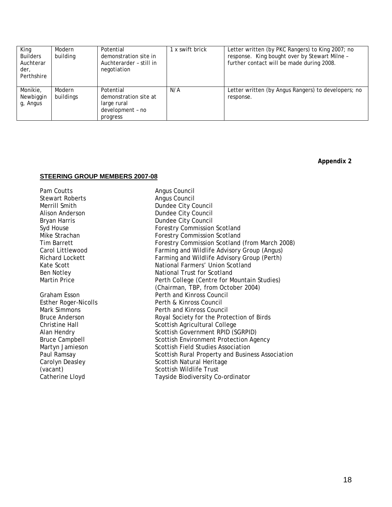| King<br><b>Builders</b><br>Auchterar<br>der,<br>Perthshire | Modern<br>building  | Potential<br>demonstration site in<br>Auchterarder - still in<br>negotiation      | 1 x swift brick | Letter written (by PKC Rangers) to King 2007; no<br>response. King bought over by Stewart Milne -<br>further contact will be made during 2008. |
|------------------------------------------------------------|---------------------|-----------------------------------------------------------------------------------|-----------------|------------------------------------------------------------------------------------------------------------------------------------------------|
| Monikie,<br>Newbiggin<br>g, Angus                          | Modern<br>buildings | Potential<br>demonstration site at<br>large rural<br>development - no<br>progress | N/A             | Letter written (by Angus Rangers) to developers; no<br>response.                                                                               |

**Appendix 2** 

#### **STEERING GROUP MEMBERS 2007-08**

Pam Coutts **Angus Council** Stewart Roberts **Angus Council**<br>Merrill Smith **Angus Council**<br>Dundee City C

Dundee City Council Alison Anderson **Dundee City Council** Bryan Harris **Dundee City Council** Syd House **Forestry Commission Scotland** Mike Strachan **Forestry Commission Scotland** Tim Barrett Forestry Commission Scotland (from March 2008) Carol Littlewood Farming and Wildlife Advisory Group (Angus) Richard Lockett Farming and Wildlife Advisory Group (Perth) Kate Scott **National Farmers' Union Scotland** Ben Notley The Scotland National Trust for Scotland<br>Martin Price The Scotland Perth College (Centre for M Perth College (Centre for Mountain Studies) (Chairman, TBP, from October 2004) Graham Esson **Perth and Kinross Council** Esther Roger-Nicolls<br>
Mark Simmons<br>
Perth and Kinross Council<br>
Perth and Kinross Counc Perth and Kinross Council Bruce Anderson **Royal Society for the Protection of Birds** Christine Hall Scottish Agricultural College Alan Hendry Scottish Government RPID (SGRPID) Bruce Campbell Scottish Environment Protection Agency Martyn Jamieson Scottish Field Studies Association Paul Ramsay **Scottish Rural Property and Business Association** Carolyn Deasley **Scottish Natural Heritage** (vacant)<br>
Catherine Lloyd<br>
Catherine Lloyd<br>
Tayside Biodiversity Co Tayside Biodiversity Co-ordinator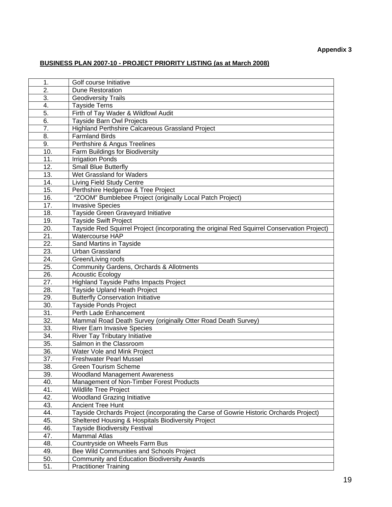# **BUSINESS PLAN 2007-10 - PROJECT PRIORITY LISTING (as at March 2008)**

| 1.  | Golf course Initiative                                                                      |
|-----|---------------------------------------------------------------------------------------------|
| 2.  | <b>Dune Restoration</b>                                                                     |
| 3.  | <b>Geodiversity Trails</b>                                                                  |
| 4.  | <b>Tayside Terns</b>                                                                        |
| 5.  | Firth of Tay Wader & Wildfowl Audit                                                         |
| 6.  | Tayside Barn Owl Projects                                                                   |
| 7.  | Highland Perthshire Calcareous Grassland Project                                            |
| 8.  | <b>Farmland Birds</b>                                                                       |
| 9.  | Perthshire & Angus Treelines                                                                |
| 10. | Farm Buildings for Biodiversity                                                             |
| 11. | <b>Irrigation Ponds</b>                                                                     |
| 12. | <b>Small Blue Butterfly</b>                                                                 |
| 13. | Wet Grassland for Waders                                                                    |
| 14. | Living Field Study Centre                                                                   |
| 15. | Perthshire Hedgerow & Tree Project                                                          |
| 16. | "ZOOM" Bumblebee Project (originally Local Patch Project)                                   |
| 17. | <b>Invasive Species</b>                                                                     |
| 18. | Tayside Green Graveyard Initiative                                                          |
| 19. | <b>Tayside Swift Project</b>                                                                |
| 20. | Tayside Red Squirrel Project (incorporating the original Red Squirrel Conservation Project) |
| 21. | Watercourse HAP                                                                             |
| 22. | Sand Martins in Tayside                                                                     |
| 23. | <b>Urban Grassland</b>                                                                      |
| 24. | Green/Living roofs                                                                          |
| 25. | Community Gardens, Orchards & Allotments                                                    |
| 26. | <b>Acoustic Ecology</b>                                                                     |
| 27. | <b>Highland Tayside Paths Impacts Project</b>                                               |
| 28. | Tayside Upland Heath Project                                                                |
| 29. | <b>Butterfly Conservation Initiative</b>                                                    |
| 30. | <b>Tayside Ponds Project</b>                                                                |
| 31. | Perth Lade Enhancement                                                                      |
| 32. | Mammal Road Death Survey (originally Otter Road Death Survey)                               |
| 33. | <b>River Earn Invasive Species</b>                                                          |
| 34. | River Tay Tributary Initiative                                                              |
| 35. | Salmon in the Classroom                                                                     |
| 36. | Water Vole and Mink Project                                                                 |
| 37. | <b>Freshwater Pearl Mussel</b>                                                              |
| 38. | <b>Green Tourism Scheme</b>                                                                 |
| 39. | <b>Woodland Management Awareness</b>                                                        |
| 40. | Management of Non-Timber Forest Products                                                    |
| 41. | Wildlife Tree Project                                                                       |
| 42. | <b>Woodland Grazing Initiative</b>                                                          |
| 43. | <b>Ancient Tree Hunt</b>                                                                    |
| 44. | Tayside Orchards Project (incorporating the Carse of Gowrie Historic Orchards Project)      |
| 45. | Sheltered Housing & Hospitals Biodiversity Project                                          |
| 46. | <b>Tayside Biodiversity Festival</b>                                                        |
| 47. | <b>Mammal Atlas</b>                                                                         |
| 48. | Countryside on Wheels Farm Bus                                                              |
| 49. | Bee Wild Communities and Schools Project                                                    |
| 50. | Community and Education Biodiversity Awards                                                 |
| 51. | <b>Practitioner Training</b>                                                                |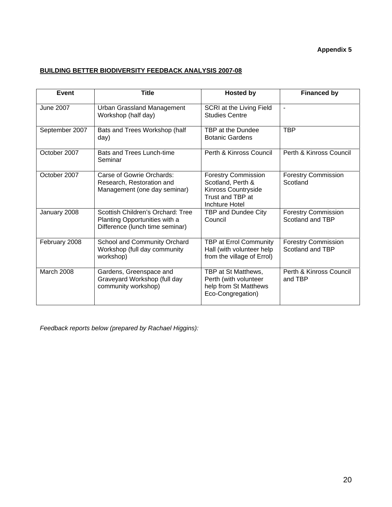# **Appendix 5**

# **BUILDING BETTER BIODIVERSITY FEEDBACK ANALYSIS 2007-08**

| Event             | <b>Title</b>                                                                                          | <b>Hosted by</b>                                                                                             | <b>Financed by</b>                             |
|-------------------|-------------------------------------------------------------------------------------------------------|--------------------------------------------------------------------------------------------------------------|------------------------------------------------|
| <b>June 2007</b>  | Urban Grassland Management<br>Workshop (half day)                                                     | SCRI at the Living Field<br><b>Studies Centre</b>                                                            | ä,                                             |
| September 2007    | Bats and Trees Workshop (half<br>day)                                                                 | TBP at the Dundee<br><b>Botanic Gardens</b>                                                                  | <b>TBP</b>                                     |
| October 2007      | Bats and Trees Lunch-time<br>Seminar                                                                  | Perth & Kinross Council                                                                                      | Perth & Kinross Council                        |
| October 2007      | Carse of Gowrie Orchards:<br>Research, Restoration and<br>Management (one day seminar)                | <b>Forestry Commission</b><br>Scotland, Perth &<br>Kinross Countryside<br>Trust and TBP at<br>Inchture Hotel | <b>Forestry Commission</b><br>Scotland         |
| January 2008      | Scottish Children's Orchard: Tree<br>Planting Opportunities with a<br>Difference (lunch time seminar) | TBP and Dundee City<br>Council                                                                               | <b>Forestry Commission</b><br>Scotland and TBP |
| February 2008     | School and Community Orchard<br>Workshop (full day community<br>workshop)                             | TBP at Errol Community<br>Hall (with volunteer help<br>from the village of Errol)                            | <b>Forestry Commission</b><br>Scotland and TBP |
| <b>March 2008</b> | Gardens, Greenspace and<br>Graveyard Workshop (full day<br>community workshop)                        | TBP at St Matthews,<br>Perth (with volunteer<br>help from St Matthews<br>Eco-Congregation)                   | Perth & Kinross Council<br>and TBP             |

*Feedback reports below (prepared by Rachael Higgins):*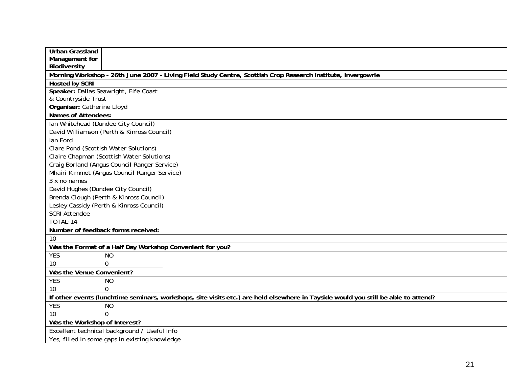| <b>Urban Grassland</b>                                                                                                             |
|------------------------------------------------------------------------------------------------------------------------------------|
| Management for                                                                                                                     |
| Biodiversity                                                                                                                       |
| Morning Workshop - 26th June 2007 - Living Field Study Centre, Scottish Crop Research Institute, Invergowrie                       |
| <b>Hosted by SCRI</b>                                                                                                              |
| Speaker: Dallas Seawright, Fife Coast                                                                                              |
| & Countryside Trust                                                                                                                |
| Organiser: Catherine Lloyd                                                                                                         |
| <b>Names of Attendees:</b>                                                                                                         |
| Ian Whitehead (Dundee City Council)                                                                                                |
| David Williamson (Perth & Kinross Council)                                                                                         |
| lan Ford                                                                                                                           |
| Clare Pond (Scottish Water Solutions)                                                                                              |
| Claire Chapman (Scottish Water Solutions)                                                                                          |
| Craig Borland (Angus Council Ranger Service)                                                                                       |
| Mhairi Kimmet (Angus Council Ranger Service)                                                                                       |
| 3 x no names                                                                                                                       |
| David Hughes (Dundee City Council)                                                                                                 |
| Brenda Clough (Perth & Kinross Council)                                                                                            |
| Lesley Cassidy (Perth & Kinross Council)                                                                                           |
| <b>SCRI Attendee</b>                                                                                                               |
| TOTAL:14                                                                                                                           |
| Number of feedback forms received:                                                                                                 |
| 10                                                                                                                                 |
| Was the Format of a Half Day Workshop Convenient for you?                                                                          |
| <b>YES</b><br><b>NO</b>                                                                                                            |
| $\overline{0}$<br>10                                                                                                               |
| Was the Venue Convenient?                                                                                                          |
| <b>YES</b><br><b>NO</b>                                                                                                            |
| $\Omega$<br>10                                                                                                                     |
| If other events (lunchtime seminars, workshops, site visits etc.) are held elsewhere in Tayside would you still be able to attend? |
| <b>YES</b><br><b>NO</b>                                                                                                            |
| 0<br>10                                                                                                                            |
| Was the Workshop of Interest?                                                                                                      |
| Excellent technical background / Useful Info                                                                                       |
| Yes, filled in some gaps in existing knowledge                                                                                     |
|                                                                                                                                    |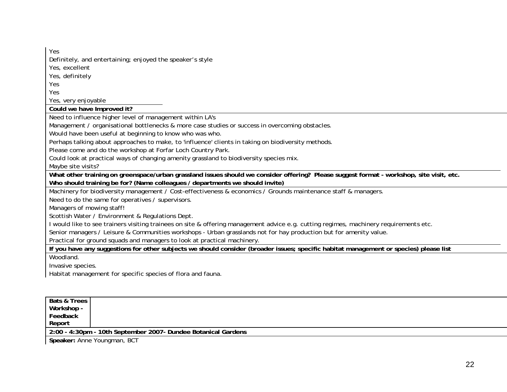YesDefinitely, and entertaining; enjoyed the speaker's style

Yes, excellent

Yes, definitely

Yes

Yes

Yes, very enjoyable

**Could we have Improved it?** 

Need to influence higher level of management within LA's

Management / organisational bottlenecks & more case studies or success in overcoming obstacles.

Would have been useful at beginning to know who was who.

Perhaps talking about approaches to make, to 'influence' clients in taking on biodiversity methods.

Please come and do the workshop at Forfar Loch Country Park.

Could look at practical ways of changing amenity grassland to biodiversity species mix.

Maybe site visits?

**What other training on greenspace/urban grassland issues should we consider offering? Please suggest format - workshop, site visit, etc.** 

**Who should training be for? (Name colleagues / departments we should invite)** 

Machinery for biodiversity management / Cost-effectiveness & economics / Grounds maintenance staff & managers.

Need to do the same for operatives / supervisors.

Managers of mowing staff!

Scottish Water / Environment & Regulations Dept.

I would like to see trainers visiting trainees on site & offering management advice e.g. cutting regimes, machinery requirements etc.

Senior managers / Leisure & Communities workshops - Urban grasslands not for hay production but for amenity value.

Practical for ground squads and managers to look at practical machinery.

**If you have any suggestions for other subjects we should consider (broader issues; specific habitat management or species) please list**  Woodland.

Invasive species.

Habitat management for specific species of flora and fauna.

| Bats & Trees |                                                               |
|--------------|---------------------------------------------------------------|
| Workshop -   |                                                               |
| Feedback     |                                                               |
| Report       |                                                               |
|              | 2:00 - 4:30pm - 10th September 2007- Dundee Botanical Gardens |
|              |                                                               |

**Speaker:** Anne Youngman, BCT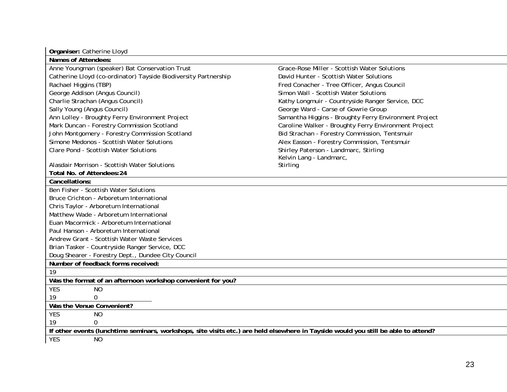| Organiser: Catherine Lloyd                                                                                                         |                                                       |  |  |  |
|------------------------------------------------------------------------------------------------------------------------------------|-------------------------------------------------------|--|--|--|
| <b>Names of Attendees:</b>                                                                                                         |                                                       |  |  |  |
| Anne Youngman (speaker) Bat Conservation Trust                                                                                     | Grace-Rose Miller - Scottish Water Solutions          |  |  |  |
| Catherine Lloyd (co-ordinator) Tayside Biodiversity Partnership                                                                    | David Hunter - Scottish Water Solutions               |  |  |  |
| Rachael Higgins (TBP)                                                                                                              | Fred Conacher - Tree Officer, Angus Council           |  |  |  |
| George Addison (Angus Council)                                                                                                     | Simon Wall - Scottish Water Solutions                 |  |  |  |
| Charlie Strachan (Angus Council)                                                                                                   | Kathy Longmuir - Countryside Ranger Service, DCC      |  |  |  |
| Sally Young (Angus Council)                                                                                                        | George Ward - Carse of Gowrie Group                   |  |  |  |
| Ann Lolley - Broughty Ferry Environment Project                                                                                    | Samantha Higgins - Broughty Ferry Environment Project |  |  |  |
| Mark Duncan - Forestry Commission Scotland                                                                                         | Caroline Walker - Broughty Ferry Environment Project  |  |  |  |
| John Montgomery - Forestry Commission Scotland                                                                                     | Bid Strachan - Forestry Commission, Tentsmuir         |  |  |  |
| Simone Medonos - Scottish Water Solutions                                                                                          | Alex Easson - Forestry Commission, Tentsmuir          |  |  |  |
| <b>Clare Pond - Scottish Water Solutions</b>                                                                                       | Shirley Paterson - Landmarc, Stirling                 |  |  |  |
|                                                                                                                                    | Kelvin Lang - Landmarc,                               |  |  |  |
| Alasdair Morrison - Scottish Water Solutions                                                                                       | Stirling                                              |  |  |  |
| Total No. of Attendees: 24                                                                                                         |                                                       |  |  |  |
| Cancellations:                                                                                                                     |                                                       |  |  |  |
| Ben Fisher - Scottish Water Solutions                                                                                              |                                                       |  |  |  |
| Bruce Crichton - Arboretum International                                                                                           |                                                       |  |  |  |
| Chris Taylor - Arboretum International                                                                                             |                                                       |  |  |  |
| Matthew Wade - Arboretum International                                                                                             |                                                       |  |  |  |
| Euan Macormick - Arboretum International                                                                                           |                                                       |  |  |  |
| Paul Hanson - Arboretum International                                                                                              |                                                       |  |  |  |
| Andrew Grant - Scottish Water Waste Services                                                                                       |                                                       |  |  |  |
| Brian Tasker - Countryside Ranger Service, DCC                                                                                     |                                                       |  |  |  |
| Doug Shearer - Forestry Dept., Dundee City Council                                                                                 |                                                       |  |  |  |
| Number of feedback forms received:                                                                                                 |                                                       |  |  |  |
| 19                                                                                                                                 |                                                       |  |  |  |
| Was the format of an afternoon workshop convenient for you?                                                                        |                                                       |  |  |  |
| <b>YES</b><br><b>NO</b>                                                                                                            |                                                       |  |  |  |
| 19<br>$\Omega$                                                                                                                     |                                                       |  |  |  |
| Was the Venue Convenient?                                                                                                          |                                                       |  |  |  |
| <b>YES</b><br><b>NO</b>                                                                                                            |                                                       |  |  |  |
| 19<br>$\Omega$                                                                                                                     |                                                       |  |  |  |
| If other events (lunchtime seminars, workshops, site visits etc.) are held elsewhere in Tayside would you still be able to attend? |                                                       |  |  |  |
| <b>YES</b><br><b>NO</b>                                                                                                            |                                                       |  |  |  |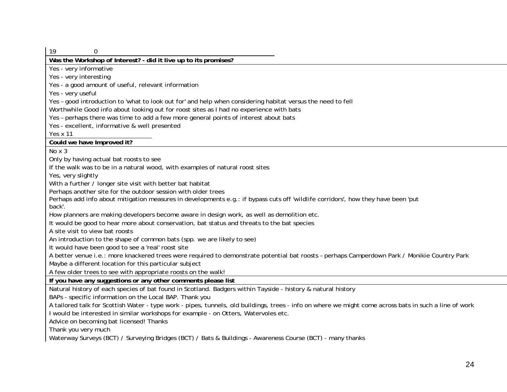| 19<br>0                                                                                                                                                |
|--------------------------------------------------------------------------------------------------------------------------------------------------------|
| Was the Workshop of Interest? - did it live up to its promises?                                                                                        |
| Yes - very informative                                                                                                                                 |
| Yes - very interesting                                                                                                                                 |
| Yes - a good amount of useful, relevant information                                                                                                    |
| Yes - very useful                                                                                                                                      |
| Yes - good introduction to 'what to look out for' and help when considering habitat versus the need to fell                                            |
| Worthwhile Good info about looking out for roost sites as I had no experience with bats                                                                |
| Yes - perhaps there was time to add a few more general points of interest about bats                                                                   |
| Yes - excellent, informative & well presented                                                                                                          |
| Yes x 11                                                                                                                                               |
| Could we have Improved it?                                                                                                                             |
| No x 3                                                                                                                                                 |
| Only by having actual bat roosts to see                                                                                                                |
| If the walk was to be in a natural wood, with examples of natural roost sites                                                                          |
| Yes, very slightly                                                                                                                                     |
| With a further / longer site visit with better bat habitat                                                                                             |
| Perhaps another site for the outdoor session with older trees                                                                                          |
| Perhaps add info about mitigation measures in developments e.g.: if bypass cuts off 'wildlife corridors', how they have been 'put                      |
| back'.                                                                                                                                                 |
| How planners are making developers become aware in design work, as well as demolition etc.                                                             |
| It would be good to hear more about conservation, bat status and threats to the bat species                                                            |
| A site visit to view bat roosts                                                                                                                        |
| An introduction to the shape of common bats (spp. we are likely to see)                                                                                |
| It would have been good to see a 'real' roost site                                                                                                     |
| A better venue i.e.: more knackered trees were required to demonstrate potential bat roosts - perhaps Camperdown Park / Monikie Country Park           |
| Maybe a different location for this particular subject                                                                                                 |
| A few older trees to see with appropriate roosts on the walk!                                                                                          |
| If you have any suggestions or any other comments please list                                                                                          |
| Natural history of each species of bat found in Scotland. Badgers within Tayside - history & natural history                                           |
| BAPs - specific information on the Local BAP. Thank you                                                                                                |
| A tailored talk for Scottish Water - type work - pipes, tunnels, old buildings, trees - info on where we might come across bats in such a line of work |
| I would be interested in similar workshops for example - on Otters, Watervoles etc.                                                                    |
| Advice on becoming bat licensed! Thanks                                                                                                                |
| Thank you very much                                                                                                                                    |
| Waterway Surveys (BCT) / Surveying Bridges (BCT) / Bats & Buildings - Awareness Course (BCT) - many thanks                                             |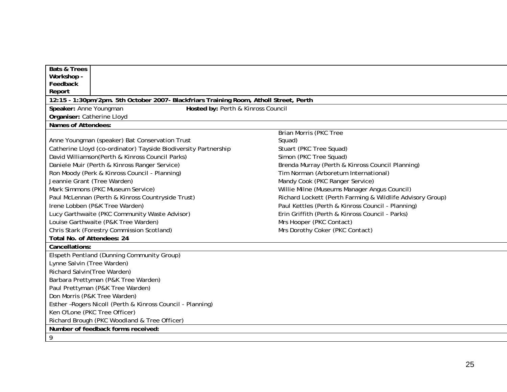| <b>Bats &amp; Trees</b>                                                               |                                                           |
|---------------------------------------------------------------------------------------|-----------------------------------------------------------|
| Workshop -                                                                            |                                                           |
| Feedback                                                                              |                                                           |
| Report                                                                                |                                                           |
| 12:15 - 1:30pm/2pm. 5th October 2007- Blackfriars Training Room, Atholl Street, Perth |                                                           |
| Speaker: Anne Youngman<br>Hosted by: Perth & Kinross Council                          |                                                           |
| Organiser: Catherine Lloyd                                                            |                                                           |
| Names of Attendees:                                                                   |                                                           |
|                                                                                       | <b>Brian Morris (PKC Tree</b>                             |
| Anne Youngman (speaker) Bat Conservation Trust                                        | Squad)                                                    |
| Catherine Lloyd (co-ordinator) Tayside Biodiversity Partnership                       | Stuart (PKC Tree Squad)                                   |
| David Williamson(Perth & Kinross Council Parks)                                       | Simon (PKC Tree Squad)                                    |
| Daniele Muir (Perth & Kinross Ranger Service)                                         | Brenda Murray (Perth & Kinross Council Planning)          |
| Ron Moody (Perk & Kinross Council - Planning)                                         | Tim Norman (Arboretum International)                      |
| Jeannie Grant (Tree Warden)                                                           | Mandy Cook (PKC Ranger Service)                           |
| Mark Simmons (PKC Museum Service)                                                     | Willie Milne (Museums Manager Angus Council)              |
| Paul McLennan (Perth & Kinross Countryside Trust)                                     | Richard Lockett (Perth Farming & Wildlife Advisory Group) |
| Irene Lobben (P&K Tree Warden)                                                        | Paul Kettles (Perth & Kinross Council - Planning)         |
| Lucy Garthwaite (PKC Community Waste Advisor)                                         | Erin Griffith (Perth & Kinross Council - Parks)           |
| Louise Garthwaite (P&K Tree Warden)                                                   | Mrs Hooper (PKC Contact)                                  |
| Chris Stark (Forestry Commission Scotland)                                            | Mrs Dorothy Coker (PKC Contact)                           |
| Total No. of Attendees: 24                                                            |                                                           |
| Cancellations:                                                                        |                                                           |
| Elspeth Pentland (Dunning Community Group)                                            |                                                           |
| Lynne Salvin (Tree Warden)                                                            |                                                           |
| Richard Salvin(Tree Warden)                                                           |                                                           |
| Barbara Prettyman (P&K Tree Warden)                                                   |                                                           |
| Paul Prettyman (P&K Tree Warden)                                                      |                                                           |
| Don Morris (P&K Tree Warden)                                                          |                                                           |
| Esther-Rogers Nicoll (Perth & Kinross Council - Planning)                             |                                                           |
| Ken O'Lone (PKC Tree Officer)                                                         |                                                           |
| Richard Brough (PKC Woodland & Tree Officer)                                          |                                                           |
| Number of feedback forms received:                                                    |                                                           |
| 9                                                                                     |                                                           |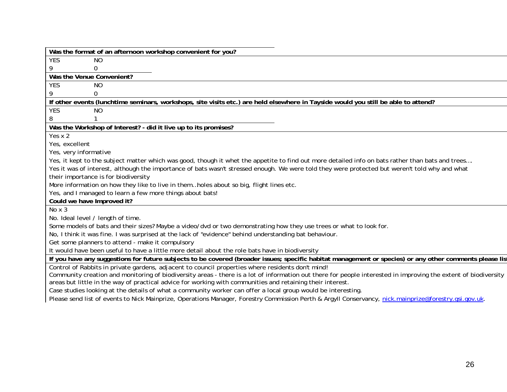| Was the format of an afternoon workshop convenient for you?                                                                                                     |
|-----------------------------------------------------------------------------------------------------------------------------------------------------------------|
| <b>YES</b><br><b>NO</b>                                                                                                                                         |
| 9<br>0                                                                                                                                                          |
| Was the Venue Convenient?                                                                                                                                       |
| <b>YES</b><br><b>NO</b>                                                                                                                                         |
| 9<br>0                                                                                                                                                          |
| If other events (lunchtime seminars, workshops, site visits etc.) are held elsewhere in Tayside would you still be able to attend?                              |
| YES<br><b>NO</b>                                                                                                                                                |
| 8<br>1                                                                                                                                                          |
| Was the Workshop of Interest? - did it live up to its promises?                                                                                                 |
| Yes $x$ 2                                                                                                                                                       |
| Yes, excellent                                                                                                                                                  |
| Yes, very informative                                                                                                                                           |
| Yes, it kept to the subject matter which was good, though it whet the appetite to find out more detailed info on bats rather than bats and trees                |
| Yes it was of interest, although the importance of bats wasn't stressed enough. We were told they were protected but weren't told why and what                  |
| their importance is for biodiversity                                                                                                                            |
| More information on how they like to live in themholes about so big, flight lines etc.                                                                          |
| Yes, and I managed to learn a few more things about bats!                                                                                                       |
| Could we have Improved it?                                                                                                                                      |
| No x 3                                                                                                                                                          |
| No. Ideal level / length of time.                                                                                                                               |
| Some models of bats and their sizes? Maybe a video/dvd or two demonstrating how they use trees or what to look for.                                             |
| No, I think it was fine. I was surprised at the lack of "evidence" behind understanding bat behaviour.                                                          |
| Get some planners to attend - make it compulsory                                                                                                                |
| It would have been useful to have a little more detail about the role bats have in biodiversity                                                                 |
| If you have any suggestions for future subjects to be covered (broader issues; specific habitat management or species) or any other comments please list        |
| Control of Rabbits in private gardens, adjacent to council properties where residents don't mind!                                                               |
| Community creation and monitoring of biodiversity areas - there is a lot of information out there for people interested in improving the extent of biodiversity |
| areas but little in the way of practical advice for working with communities and retaining their interest.                                                      |
| Case studies looking at the details of what a community worker can offer a local group would be interesting.                                                    |
| Please send list of events to Nick Mainprize, Operations Manager, Forestry Commission Perth & Argyll Conservancy, nick.mainprize@forestry.gsi.gov.uk.           |
|                                                                                                                                                                 |
|                                                                                                                                                                 |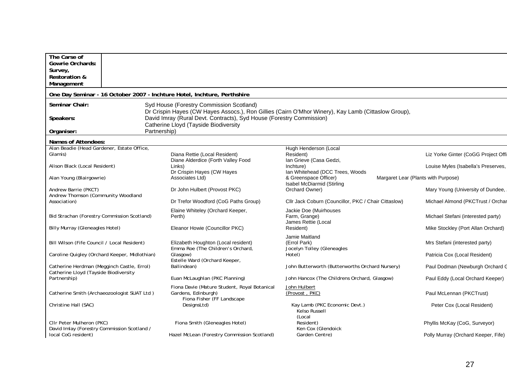| The Carse of                                                                        |                                                                                                                                                 |                                                                 |                                     |
|-------------------------------------------------------------------------------------|-------------------------------------------------------------------------------------------------------------------------------------------------|-----------------------------------------------------------------|-------------------------------------|
| <b>Gowrie Orchards:</b>                                                             |                                                                                                                                                 |                                                                 |                                     |
| Survey,<br><b>Restoration &amp;</b>                                                 |                                                                                                                                                 |                                                                 |                                     |
| Management                                                                          |                                                                                                                                                 |                                                                 |                                     |
|                                                                                     | One Day Seminar - 16 October 2007 - Inchture Hotel, Inchture, Perthshire                                                                        |                                                                 |                                     |
| Seminar Chair:                                                                      | Syd House (Forestry Commission Scotland)<br>Dr Crispin Hayes (CW Hayes Assocs.), Ron Gillies (Cairn O'Mhor Winery), Kay Lamb (Cittaslow Group), |                                                                 |                                     |
| Speakers:                                                                           | David Imray (Rural Devt. Contracts), Syd House (Forestry Commission)<br>Catherine Lloyd (Tayside Biodiversity                                   |                                                                 |                                     |
| Organiser:                                                                          | Partnership)                                                                                                                                    |                                                                 |                                     |
| Names of Attendees:                                                                 |                                                                                                                                                 |                                                                 |                                     |
| Alan Beadie (Head Gardener, Estate Office,<br>Glamis)                               | Diana Rettie (Local Resident)<br>Diane Alderdice (Forth Valley Food                                                                             | Hugh Henderson (Local<br>Resident)<br>Ian Grieve (Casa Gedzi,   | Liz Yorke Ginter (CoGG Project Offi |
| Alison Black (Local Resident)                                                       | Links)<br>Dr Crispin Hayes (CW Hayes                                                                                                            | Inchture)<br>Ian Whitehead (DCC Trees, Woods                    | Louise Myles (Isabella's Preserves, |
| Alan Young (Blairgowrie)                                                            | Associates Ltd)                                                                                                                                 | & Greenspace Officer)<br><b>Isabel McDiarmid (Stirling</b>      | Margaret Lear (Plants with Purpose) |
| Andrew Barrie (PKCT)<br>Andrew Thomson (Community Woodland                          | Dr John Hulbert (Provost PKC)                                                                                                                   | Orchard Owner)                                                  | Mary Young (University of Dundee,   |
| Association)                                                                        | Dr Trefor Woodford (CoG Paths Group)                                                                                                            | Cllr Jack Coburn (Councillor, PKC / Chair Cittaslow)            | Michael Almond (PKCTrust / Orchar   |
| Bid Strachan (Forestry Commission Scotland)                                         | Elaine Whiteley (Orchard Keeper,<br>Perth)                                                                                                      | Jackie Doe (Muirhouses<br>Farm, Grange)<br>James Rettie (Local  | Michael Stefani (interested party)  |
| <b>Billy Murray (Gleneagles Hotel)</b>                                              | Eleanor Howie (Councillor PKC)                                                                                                                  | Resident)                                                       | Mike Stockley (Port Allan Orchard)  |
| Bill Wilson (Fife Council / Local Resident)                                         | Elizabeth Houghton (Local resident)<br>Emma Roe (The Children's Orchard,                                                                        | Jamie Maitland<br>(Errol Park)<br>Jocelyn Tolley (Gleneagles    | Mrs Stefani (interested party)      |
| Caroline Quigley (Orchard Keeper, Midlothian)                                       | Glasgow)<br>Estelle Ward (Orchard Keeper,                                                                                                       | Hotel)                                                          | Patricia Cox (Local Resident)       |
| Catherine Herdman (Megginch Castle, Errol)<br>Catherine Lloyd (Tayside Biodiversity | Ballindean)                                                                                                                                     | John Butterworth (Butterworths Orchard Nursery)                 | Paul Dodman (Newburgh Orchard G     |
| Partnership)                                                                        | Euan McLaughlan (PKC Planning)                                                                                                                  | John Hancox (The Childrens Orchard, Glasgow)                    | Paul Eddy (Local Orchard Keeper)    |
| Catherine Smith (Archaeozoologist SUAT Ltd)                                         | Fiona Davie (Mature Student, Royal Botanical<br>Gardens, Edinburgh)<br>Fiona Fisher (FF Landscape                                               | John Hulbert<br>(Provost, PKC)                                  | Paul McLennan (PKCTrust)            |
| Christine Hall (SAC)                                                                | DesignsLtd)                                                                                                                                     | Kay Lamb (PKC Economic Devt.)<br><b>Kelso Russell</b><br>(Local | Peter Cox (Local Resident)          |
| CIIr Peter Mulheron (PKC)<br>David Imlay (Forestry Commission Scotland /            | Fiona Smith (Gleneagles Hotel)                                                                                                                  | Resident)<br>Ken Cox (Glendoick                                 | Phyllis McKay (CoG, Surveyor)       |
| local CoG resident)                                                                 | Hazel McLean (Forestry Commission Scotland)                                                                                                     | Garden Centre)                                                  | Polly Murray (Orchard Keeper, Fife) |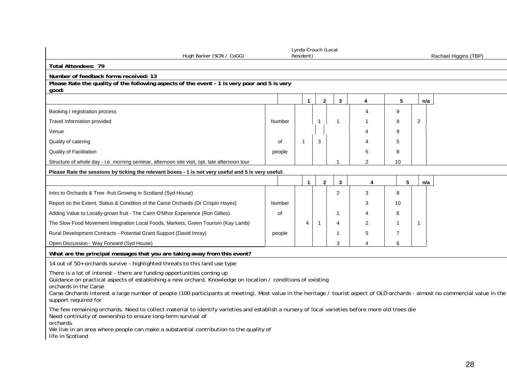| Hugh Barker (SCRI / CoGG)                                                                                                                                                                                                                                                                                                                                                                                                 |        | Lynda Crouch (Local<br>Resident) |                |                |                       |                |                | Rachael Higgins (TBP) |
|---------------------------------------------------------------------------------------------------------------------------------------------------------------------------------------------------------------------------------------------------------------------------------------------------------------------------------------------------------------------------------------------------------------------------|--------|----------------------------------|----------------|----------------|-----------------------|----------------|----------------|-----------------------|
| <b>Total Attendees: 79</b>                                                                                                                                                                                                                                                                                                                                                                                                |        |                                  |                |                |                       |                |                |                       |
| Number of feedback forms received: 13                                                                                                                                                                                                                                                                                                                                                                                     |        |                                  |                |                |                       |                |                |                       |
| Please Rate the quality of the following aspects of the event - 1 is very poor and 5 is very<br>good:                                                                                                                                                                                                                                                                                                                     |        |                                  |                |                |                       |                |                |                       |
|                                                                                                                                                                                                                                                                                                                                                                                                                           |        | $\mathbf{1}$                     | $\overline{2}$ | $\mathbf{3}$   | 4                     | 5              |                | n/a                   |
| Booking / registration process                                                                                                                                                                                                                                                                                                                                                                                            |        |                                  |                |                | $\boldsymbol{\Delta}$ | 9              |                |                       |
| <b>Travel Information provided</b>                                                                                                                                                                                                                                                                                                                                                                                        | Number |                                  | $\overline{1}$ | $\overline{1}$ |                       | 8              | 2              |                       |
| Venue                                                                                                                                                                                                                                                                                                                                                                                                                     |        |                                  |                |                | Δ                     | 9              |                |                       |
| Quality of catering                                                                                                                                                                                                                                                                                                                                                                                                       | οf     | -1                               | 3              |                | 4                     | 5              |                |                       |
| <b>Quality of Facilitation</b>                                                                                                                                                                                                                                                                                                                                                                                            | people |                                  |                |                | 5                     | 8              |                |                       |
| Structure of whole day - i.e. morning seminar, afternoon site visit, opt. late afternoon tour                                                                                                                                                                                                                                                                                                                             |        |                                  |                | 1              | $\overline{2}$        | 10             |                |                       |
| Please Rate the sessions by ticking the relevant boxes - 1 is not very useful and 5 is very useful:                                                                                                                                                                                                                                                                                                                       |        |                                  |                |                |                       |                |                |                       |
|                                                                                                                                                                                                                                                                                                                                                                                                                           |        | $\blacktriangleleft$             | $\overline{2}$ | 3              | 4                     | 5              | n/a            |                       |
| Intro to Orchards & Tree -fruit Growing in Scotland (Syd House)                                                                                                                                                                                                                                                                                                                                                           |        |                                  |                | $\overline{2}$ | 3                     | 8              |                |                       |
| Report on the Extent, Status & Condition of the Carse Orchards (Dr Crispin Hayes)                                                                                                                                                                                                                                                                                                                                         | Number |                                  |                |                | 3                     | 10             |                |                       |
| Adding Value to Locally-grown fruit - The Cairn O'Mhor Experience (Ron Gillies)                                                                                                                                                                                                                                                                                                                                           | οf     |                                  |                | $\overline{1}$ | $\boldsymbol{\Delta}$ | 8              |                |                       |
| The Slow Food Movement Integration Local Foods, Markets, Green Tourism (Kay Lamb)                                                                                                                                                                                                                                                                                                                                         |        | 4                                | -1             | 4              | 2                     | $\mathbf 1$    | $\overline{1}$ |                       |
| Rural Development Contracts - Potential Grant Support (David Imray)                                                                                                                                                                                                                                                                                                                                                       | people |                                  |                | 1              | 5                     | $\overline{7}$ |                |                       |
| Open Discussion - Way Forward (Syd House)                                                                                                                                                                                                                                                                                                                                                                                 |        |                                  |                | 3              | $\overline{4}$        | 6              |                |                       |
| What are the principal messages that you are taking away from this event?                                                                                                                                                                                                                                                                                                                                                 |        |                                  |                |                |                       |                |                |                       |
| 14 out of 50+ orchards survive - highlighted threats to this land use type                                                                                                                                                                                                                                                                                                                                                |        |                                  |                |                |                       |                |                |                       |
| There is a lot of interest - there are funding opportunities coming up<br>Guidance on practical aspects of establishing a new orchard. Knowledge on location / conditions of existing<br>orchards in the Carse<br>Carse Orchards interest a large number of people (100 participants at meeting). Most value in the heritage / tourist aspect of OLD orchards - almost no commercial value in the<br>support required for |        |                                  |                |                |                       |                |                |                       |
| The few remaining orchards. Need to collect material to identify varieties and establish a nursery of local varieties before more old trees die<br>Need continuity of ownership to ensure long-term survival of<br>orchards.<br>We live in an area where people can make a substantial contribution to the quality of<br>life in Scotland                                                                                 |        |                                  |                |                |                       |                |                |                       |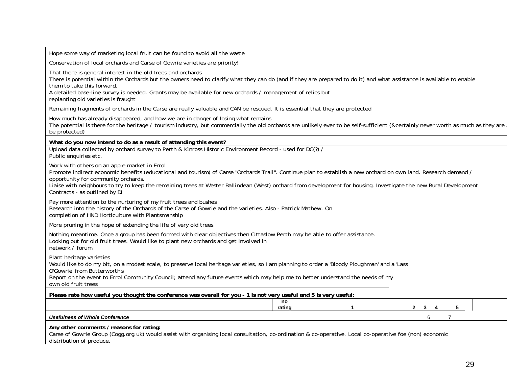Hope some way of marketing local fruit can be found to avoid all the waste Conservation of local orchards and Carse of Gowrie varieties are priority! That there is general interest in the old trees and orchards There is potential within the Orchards but the owners need to clarify what they can do (and if they are prepared to do it) and what assistance is available to enable them to take this forward. A detailed base-line survey is needed. Grants may be available for new orchards / management of relics but replanting old varieties is fraught Remaining fragments of orchards in the Carse are really valuable and CAN be rescued. It is essential that they are protected How much has already disappeared, and how we are in danger of losing what remains The potential is there for the heritage / tourism industry, but commercially the old orchards are unlikely ever to be self-sufficient (&certainly never worth as much as they are be protected) **What do you now intend to do as a result of attending this event?**  Upload data collected by orchard survey to Perth & Kinross Historic Environment Record - used for DC(?) / Public enquiries etc. Work with others on an apple market in Errol Promote indirect economic benefits (educational and tourism) of Carse "Orchards Trail". Continue plan to establish a new orchard on own land. Research demand / opportunity for community orchards. Liaise with neighbours to try to keep the remaining trees at Wester Ballindean (West) orchard from development for housing. Investigate the new Rural Development Contracts - as outlined by DI Pay more attention to the nurturing of my fruit trees and bushes Research into the history of the Orchards of the Carse of Gowrie and the varieties. Also - Patrick Mathew. On completion of HND Horticulture with Plantsmanship More pruning in the hope of extending the life of very old trees Nothing meantime. Once a group has been formed with clear objectives then Cittaslow Perth may be able to offer assistance. Looking out for old fruit trees. Would like to plant new orchards and get involved in network / forum Plant heritage varieties Would like to do my bit, on a modest scale, to preserve local heritage varieties, so I am planning to order a 'Bloody Ploughman' and a 'Lass O'Gowrie' from Butterworth's Report on the event to Errol Community Council; attend any future events which may help me to better understand the needs of my own old fruit trees **Please rate how useful you thought the conference was overall for you - 1 is not very useful and 5 is very useful: no rating 1 2 3 4 5**  *Usefulness of Whole Conference* 6 7 **Any other comments / reasons for rating:**  Carse of Gowrie Group (Cogg.org.uk) would assist with organising local consultation, co-ordination & co-operative. Local co-operative foe (non) economic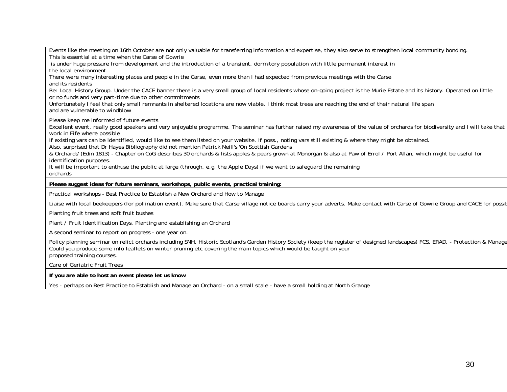Events like the meeting on 16th October are not only valuable for transferring information and expertise, they also serve to strengthen local community bonding. This is essential at a time when the Carse of Gowrie

 is under huge pressure from development and the introduction of a transient, dormitory population with little permanent interest in the local environment.

There were many interesting places and people in the Carse, even more than I had expected from previous meetings with the Carse and its residents

Re: Local History Group. Under the CACE banner there is a very small group of local residents whose on-going project is the Murie Estate and its history. Operated on little or no funds and very part-time due to other commitments

Unfortunately I feel that only small remnants in sheltered locations are now viable. I think most trees are reaching the end of their natural life span and are vulnerable to windblow

Please keep me informed of future events

Excellent event, really good speakers and very enjoyable programme. The seminar has further raised my awareness of the value of orchards for biodiversity and I will take that work in Fife where possible

If existing vars can be identified, would like to see them listed on your website. If poss., noting vars still existing & where they might be obtained.

Also, surprised that Dr Hayes Bibliography did not mention Patrick Neill's 'On Scottish Gardens

& Orchards' (Edin 1813) - Chapter on CoG describes 30 orchards & lists apples & pears grown at Monorgan & also at Paw of Errol / Port Allan, which might be useful for identification purposes.

It will be important to enthuse the public at large (through, e.g, the Apple Days) if we want to safeguard the remaining

orchards

**Please suggest ideas for future seminars, workshops, public events, practical training:** 

Practical workshops - Best Practice to Establish a New Orchard and How to Manage

Liaise with local beekeepers (for pollination event). Make sure that Carse village notice boards carry your adverts. Make contact with Carse of Gowrie Group and CACE for possib

Planting fruit trees and soft fruit bushes

Plant / Fruit Identification Days. Planting and establishing an Orchard

A second seminar to report on progress - one year on.

Policy planning seminar on relict orchards including SNH, Historic Scotland's Garden History Society (keep the register of designed landscapes) FCS, ERAD, - Protection & Manage Could you produce some info leaflets on winter pruning etc covering the main topics which would be taught on your proposed training courses.

Care of Geriatric Fruit Trees

**If you are able to host an event please let us know** 

Yes - perhaps on Best Practice to Establish and Manage an Orchard - on a small scale - have a small holding at North Grange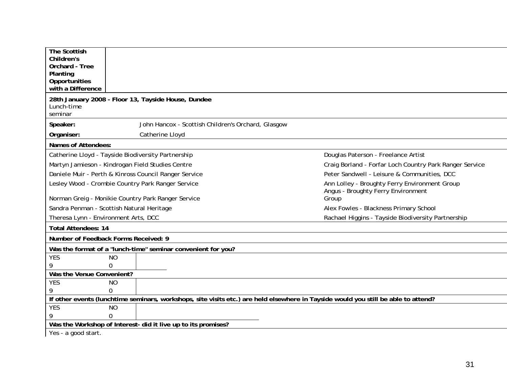| The Scottish<br>Children's<br>Orchard - Tree<br>Planting<br>Opportunities                                                          |                                                                                     |  |  |  |  |
|------------------------------------------------------------------------------------------------------------------------------------|-------------------------------------------------------------------------------------|--|--|--|--|
| with a Difference                                                                                                                  |                                                                                     |  |  |  |  |
| 28th January 2008 - Floor 13, Tayside House, Dundee<br>Lunch-time<br>seminar                                                       |                                                                                     |  |  |  |  |
| John Hancox - Scottish Children's Orchard, Glasgow<br>Speaker:                                                                     |                                                                                     |  |  |  |  |
| Organiser:<br>Catherine Lloyd                                                                                                      |                                                                                     |  |  |  |  |
| Names of Attendees:                                                                                                                |                                                                                     |  |  |  |  |
| Catherine Lloyd - Tayside Biodiversity Partnership                                                                                 | Douglas Paterson - Freelance Artist                                                 |  |  |  |  |
| Martyn Jamieson - Kindrogan Field Studies Centre<br>Craig Borland - Forfar Loch Country Park Ranger Service                        |                                                                                     |  |  |  |  |
| Daniele Muir - Perth & Kinross Council Ranger Service<br>Peter Sandwell - Leisure & Communities, DCC                               |                                                                                     |  |  |  |  |
| Lesley Wood - Crombie Country Park Ranger Service                                                                                  | Ann Lolley - Broughty Ferry Environment Group<br>Angus - Broughty Ferry Environment |  |  |  |  |
| Norman Greig - Monikie Country Park Ranger Service                                                                                 | Group                                                                               |  |  |  |  |
| Sandra Penman - Scottish Natural Heritage                                                                                          | Alex Fowles - Blackness Primary School                                              |  |  |  |  |
| Theresa Lynn - Environment Arts, DCC                                                                                               | Rachael Higgins - Tayside Biodiversity Partnership                                  |  |  |  |  |
| <b>Total Attendees: 14</b>                                                                                                         |                                                                                     |  |  |  |  |
| Number of Feedback Forms Received: 9                                                                                               |                                                                                     |  |  |  |  |
| Was the format of a "lunch-time" seminar convenient for you?                                                                       |                                                                                     |  |  |  |  |
| <b>YES</b><br><b>NO</b>                                                                                                            |                                                                                     |  |  |  |  |
| 9<br>0                                                                                                                             |                                                                                     |  |  |  |  |
| Was the Venue Convenient?                                                                                                          |                                                                                     |  |  |  |  |
| <b>YES</b><br><b>NO</b><br>9<br>0                                                                                                  |                                                                                     |  |  |  |  |
| If other events (lunchtime seminars, workshops, site visits etc.) are held elsewhere in Tayside would you still be able to attend? |                                                                                     |  |  |  |  |
| <b>YES</b><br><b>NO</b>                                                                                                            |                                                                                     |  |  |  |  |
| $\Omega$                                                                                                                           |                                                                                     |  |  |  |  |
| Was the Workshop of Interest- did it live up to its promises?                                                                      |                                                                                     |  |  |  |  |
| Yes - a good start.                                                                                                                |                                                                                     |  |  |  |  |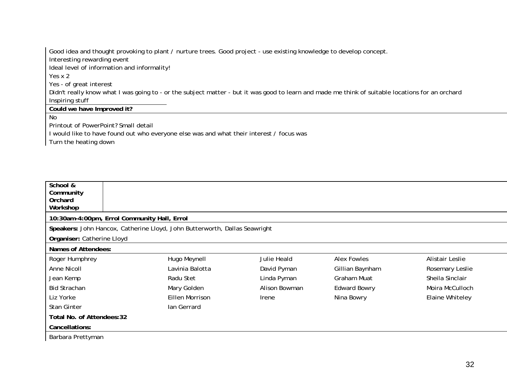Good idea and thought provoking to plant / nurture trees. Good project - use existing knowledge to develop concept. Interesting rewarding event Ideal level of information and informality! Yes x 2 Yes - of great interest Didn't really know what I was going to - or the subject matter - but it was good to learn and made me think of suitable locations for an orchard Inspiring stuff **Could we have Improved it?** 

No

Printout of PowerPoint? Small detail

I would like to have found out who everyone else was and what their interest / focus was

Turn the heating down

| School &<br>Community<br>Orchard            |                                                                            |               |                     |                 |
|---------------------------------------------|----------------------------------------------------------------------------|---------------|---------------------|-----------------|
| Workshop                                    |                                                                            |               |                     |                 |
| 10:30am-4:00pm, Errol Community Hall, Errol |                                                                            |               |                     |                 |
|                                             | Speakers: John Hancox, Catherine Lloyd, John Butterworth, Dallas Seawright |               |                     |                 |
| Organiser: Catherine Lloyd                  |                                                                            |               |                     |                 |
| Names of Attendees:                         |                                                                            |               |                     |                 |
| Roger Humphrey                              | Hugo Meynell                                                               | Julie Heald   | Alex Fowles         | Alistair Leslie |
| Anne Nicoll                                 | Lavinia Balotta                                                            | David Pyman   | Gillian Baynham     | Rosemary Leslie |
| Jean Kemp                                   | Radu Stet                                                                  | Linda Pyman   | Graham Muat         | Sheila Sinclair |
| <b>Bid Strachan</b>                         | Mary Golden                                                                | Alison Bowman | <b>Edward Bowry</b> | Moira McCulloch |
| Liz Yorke                                   | Eillen Morrison                                                            | <b>Irene</b>  | Nina Bowry          | Elaine Whiteley |
| Stan Ginter                                 | lan Gerrard                                                                |               |                     |                 |
| Total No. of Attendees: 32                  |                                                                            |               |                     |                 |
| Cancellations:                              |                                                                            |               |                     |                 |
| Barbara Prettyman                           |                                                                            |               |                     |                 |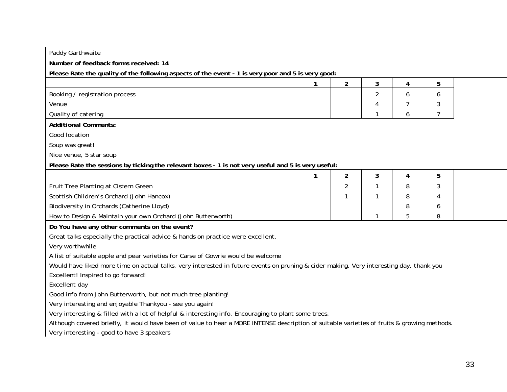| Paddy Garthwaite                                                                                                                            |   |                |                |   |   |
|---------------------------------------------------------------------------------------------------------------------------------------------|---|----------------|----------------|---|---|
| Number of feedback forms received: 14                                                                                                       |   |                |                |   |   |
| Please Rate the quality of the following aspects of the event - 1 is very poor and 5 is very good:                                          |   |                |                |   |   |
|                                                                                                                                             | 1 | $\overline{2}$ | 3              | 4 | 5 |
| Booking / registration process                                                                                                              |   |                | $\overline{2}$ | 6 | 6 |
| Venue                                                                                                                                       |   |                |                |   | 3 |
| Quality of catering                                                                                                                         |   |                |                | 6 | 7 |
| <b>Additional Comments:</b>                                                                                                                 |   |                |                |   |   |
| Good location                                                                                                                               |   |                |                |   |   |
| Soup was great!                                                                                                                             |   |                |                |   |   |
| Nice venue, 5 star soup                                                                                                                     |   |                |                |   |   |
| Please Rate the sessions by ticking the relevant boxes - 1 is not very useful and 5 is very useful:                                         |   |                |                |   |   |
|                                                                                                                                             | 1 | $\overline{2}$ | 3              | 4 | 5 |
| Fruit Tree Planting at Cistern Green                                                                                                        |   | $\overline{2}$ |                | 8 | 3 |
| Scottish Children's Orchard (John Hancox)                                                                                                   |   | 1              |                | 8 |   |
| Biodiversity in Orchards (Catherine Lloyd)                                                                                                  |   |                |                | 8 | 6 |
| How to Design & Maintain your own Orchard (John Butterworth)                                                                                |   |                | 1              | 5 | 8 |
| Do You have any other comments on the event?                                                                                                |   |                |                |   |   |
| Great talks especially the practical advice & hands on practice were excellent.                                                             |   |                |                |   |   |
| Very worthwhile                                                                                                                             |   |                |                |   |   |
| A list of suitable apple and pear varieties for Carse of Gowrie would be welcome                                                            |   |                |                |   |   |
| Would have liked more time on actual talks, very interested in future events on pruning & cider making. Very interesting day, thank you     |   |                |                |   |   |
| Excellent! Inspired to go forward!                                                                                                          |   |                |                |   |   |
| Excellent day                                                                                                                               |   |                |                |   |   |
| Good info from John Butterworth, but not much tree planting!                                                                                |   |                |                |   |   |
| Very interesting and enjoyable Thankyou - see you again!                                                                                    |   |                |                |   |   |
| Very interesting & filled with a lot of helpful & interesting info. Encouraging to plant some trees.                                        |   |                |                |   |   |
| Although covered briefly, it would have been of value to hear a MORE INTENSE description of suitable varieties of fruits & growing methods. |   |                |                |   |   |
| Very interesting - good to have 3 speakers                                                                                                  |   |                |                |   |   |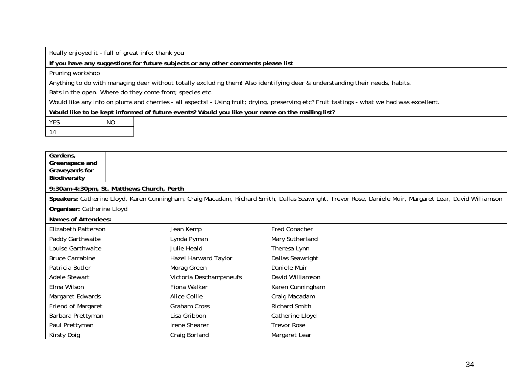Really enjoyed it - full of great info; thank you

**If you have any suggestions for future subjects or any other comments please list** 

Pruning workshop

Anything to do with managing deer without totally excluding them! Also identifying deer & understanding their needs, habits.

Bats in the open. Where do they come from; species etc.

Would like any info on plums and cherries - all aspects! - Using fruit; drying, preserving etc? Fruit tastings - what we had was excellent.

**Would like to be kept informed of future events? Would you like your name on the mailing list?** 

| <b>VFS</b> | $\overline{M}$ |
|------------|----------------|
| п.         |                |

| Gardens,<br>Greenspace and<br>Graveyards for<br>Biodiversity |                                           |                                                                                                                                                         |
|--------------------------------------------------------------|-------------------------------------------|---------------------------------------------------------------------------------------------------------------------------------------------------------|
|                                                              | 9:30am-4:30pm, St. Matthews Church, Perth |                                                                                                                                                         |
|                                                              |                                           | Speakers: Catherine Lloyd, Karen Cunningham, Craig Macadam, Richard Smith, Dallas Seawright, Trevor Rose, Daniele Muir, Margaret Lear, David Williamson |
| Organiser: Catherine Lloyd                                   |                                           |                                                                                                                                                         |
| Names of Attendees:                                          |                                           |                                                                                                                                                         |
| Elizabeth Patterson                                          | Jean Kemp                                 | Fred Conacher                                                                                                                                           |
| Paddy Garthwaite                                             | Lynda Pyman                               | Mary Sutherland                                                                                                                                         |
| Louise Garthwaite                                            | Julie Heald                               | Theresa Lynn                                                                                                                                            |
| <b>Bruce Carrabine</b>                                       | Hazel Harward Taylor                      | Dallas Seawright                                                                                                                                        |
| Patricia Butler                                              | Morag Green                               | Daniele Muir                                                                                                                                            |
| Adele Stewart                                                | Victoria Deschampsneufs                   | David Williamson                                                                                                                                        |
| Elma Wilson                                                  | Fiona Walker                              | Karen Cunningham                                                                                                                                        |
| Margaret Edwards                                             | Alice Collie                              | Craig Macadam                                                                                                                                           |
| Friend of Margaret                                           | Graham Cross                              | <b>Richard Smith</b>                                                                                                                                    |
| Barbara Prettyman                                            | Lisa Gribbon                              | Catherine Lloyd                                                                                                                                         |
| Paul Prettyman                                               | <b>Irene Shearer</b>                      | <b>Trevor Rose</b>                                                                                                                                      |
| Kirsty Doig                                                  | Craig Borland                             | Margaret Lear                                                                                                                                           |
|                                                              |                                           |                                                                                                                                                         |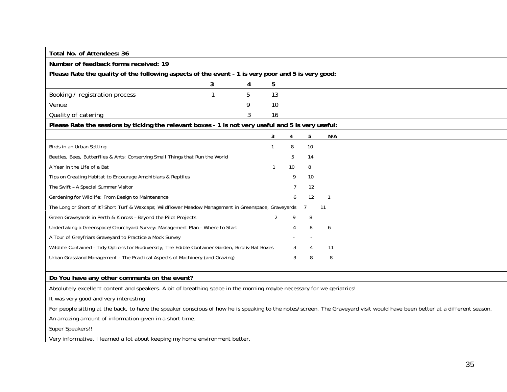| Total No. of Attendees: 36                                                                            |   |   |                |    |    |     |
|-------------------------------------------------------------------------------------------------------|---|---|----------------|----|----|-----|
| Number of feedback forms received: 19                                                                 |   |   |                |    |    |     |
| Please Rate the quality of the following aspects of the event - 1 is very poor and 5 is very good:    |   |   |                |    |    |     |
|                                                                                                       | 3 | 4 | 5              |    |    |     |
| Booking / registration process                                                                        |   | 5 | 13             |    |    |     |
| Venue                                                                                                 |   | 9 | 10             |    |    |     |
| Quality of catering                                                                                   |   |   | 16             |    |    |     |
| Please Rate the sessions by ticking the relevant boxes - 1 is not very useful and 5 is very useful:   |   |   |                |    |    |     |
|                                                                                                       |   |   | 3              | 4  | 5  | N/A |
| Birds in an Urban Setting                                                                             |   |   |                | 8  | 10 |     |
| Beetles, Bees, Butterflies & Ants: Conserving Small Things that Run the World                         |   |   |                | 5  | 14 |     |
| A Year in the Life of a Bat                                                                           |   |   |                | 10 | 8  |     |
| Tips on Creating Habitat to Encourage Amphibians & Reptiles                                           |   |   |                | 9  | 10 |     |
| The Swift - A Special Summer Visitor                                                                  |   |   |                |    | 12 |     |
| Gardening for Wildlife: From Design to Maintenance                                                    |   |   |                |    | 12 |     |
| The Long or Short of It? Short Turf & Waxcaps; Wildflower Meadow Management in Greenspace, Graveyards |   |   |                |    |    | 11  |
| Green Graveyards in Perth & Kinross - Beyond the Pilot Projects                                       |   |   | $\overline{2}$ | 9  | 8  |     |
| Undertaking a Greenspace/Churchyard Survey: Management Plan - Where to Start                          |   |   |                |    | 8  | 6   |
| A Tour of Greyfriars Graveyard to Practice a Mock Survey                                              |   |   |                |    |    |     |
| Wildlife Contained - Tidy Options for Biodiversity; The Edible Container Garden, Bird & Bat Boxes     |   |   |                | 3  |    | 11  |
| Urban Grassland Management - The Practical Aspects of Machinery (and Grazing)                         |   |   |                | 3  | 8  | 8   |

**Do You have any other comments on the event?** 

Absolutely excellent content and speakers. A bit of breathing space in the morning maybe necessary for we geriatrics!

It was very good and very interesting

For people sitting at the back, to have the speaker conscious of how he is speaking to the notes/screen. The Graveyard visit would have been better at a different season.

An amazing amount of information given in a short time.

Super Speakers!!

Very informative, I learned a lot about keeping my home environment better.